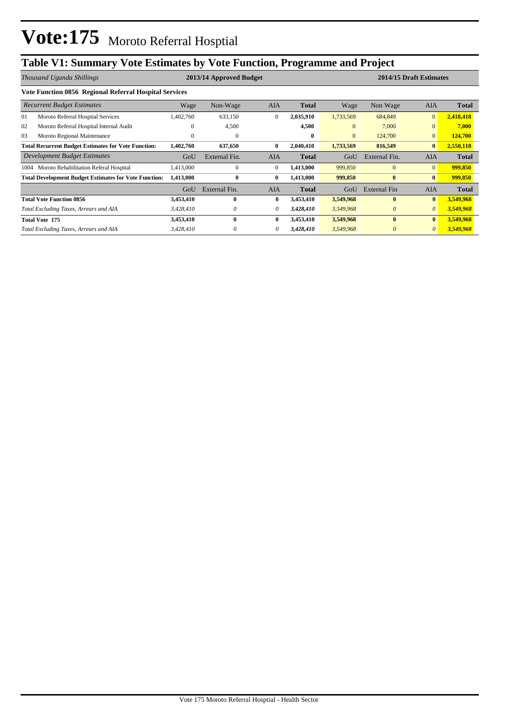# **Table V1: Summary Vote Estimates by Vote Function, Programme and Project**

|      | Thousand Uganda Shillings                                    |              | 2013/14 Approved Budget |              |              |                |                     | 2014/15 Draft Estimates |              |
|------|--------------------------------------------------------------|--------------|-------------------------|--------------|--------------|----------------|---------------------|-------------------------|--------------|
|      | Vote Function 0856 Regional Referral Hospital Services       |              |                         |              |              |                |                     |                         |              |
|      | <b>Recurrent Budget Estimates</b>                            | Wage         | Non-Wage                | AIA          | <b>Total</b> | Wage           | Non Wage            | AIA                     | <b>Total</b> |
| 01   | Moroto Referral Hosptial Services                            | 1,402,760    | 633,150                 | $\theta$     | 2,035,910    | 1,733,569      | 684,849             | $\mathbf{0}$            | 2,418,418    |
| 02   | Moroto Referral Hospital Internal Audit                      | 0            | 4,500                   |              | 4,500        | $\overline{0}$ | 7,000               | $\overline{0}$          | 7,000        |
| 03   | Moroto Regional Maintenance                                  | $\mathbf{0}$ | $\mathbf{0}$            |              | $\bf{0}$     | $\overline{0}$ | 124,700             | $\overline{0}$          | 124,700      |
|      | <b>Total Recurrent Budget Estimates for Vote Function:</b>   | 1,402,760    | 637,650                 | $\bf{0}$     | 2,040,410    | 1,733,569      | 816,549             | $\bf{0}$                | 2,550,118    |
|      | Development Budget Estimates                                 | GoU          | External Fin.           | <b>AIA</b>   | <b>Total</b> | GoU            | External Fin.       | <b>AIA</b>              | <b>Total</b> |
| 1004 | Moroto Rehabilitation Referal Hospital                       | 1,413,000    | $\overline{0}$          | $\theta$     | 1,413,000    | 999,850        | $\overline{0}$      | $\overline{0}$          | 999,850      |
|      | <b>Total Development Budget Estimates for Vote Function:</b> | 1,413,000    | $\bf{0}$                | $\bf{0}$     | 1,413,000    | 999,850        | $\bf{0}$            | $\bf{0}$                | 999,850      |
|      |                                                              | GoU          | External Fin.           | <b>AIA</b>   | <b>Total</b> | GoU            | <b>External Fin</b> | <b>AIA</b>              | <b>Total</b> |
|      | <b>Total Vote Function 0856</b>                              | 3,453,410    | $\bf{0}$                | $\mathbf{0}$ | 3,453,410    | 3,549,968      | $\mathbf{0}$        | $\bf{0}$                | 3,549,968    |
|      | Total Excluding Taxes, Arrears and AIA                       | 3,428,410    | 0                       | $\theta$     | 3,428,410    | 3,549,968      | $\theta$            | $\theta$                | 3,549,968    |
|      | <b>Total Vote 175</b>                                        | 3,453,410    | 0                       | 0            | 3,453,410    | 3,549,968      | $\mathbf{0}$        | $\bf{0}$                | 3,549,968    |
|      | Total Excluding Taxes, Arrears and AIA                       | 3,428,410    |                         | 0            | 3,428,410    | 3,549,968      | $\theta$            | $\theta$                | 3,549,968    |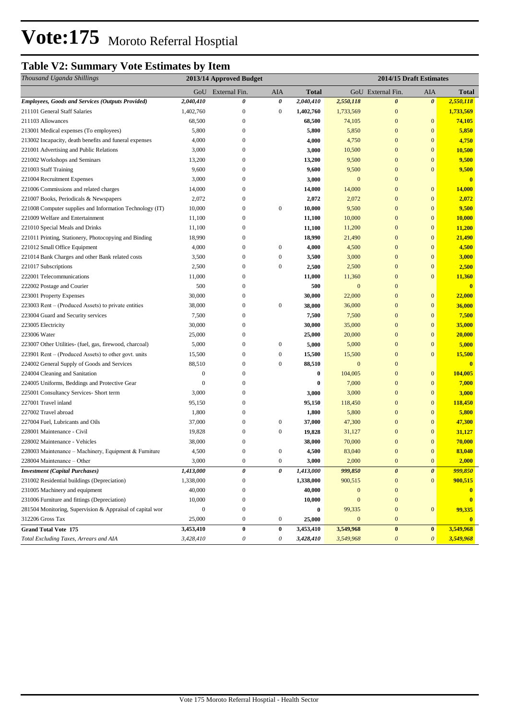# **Vote:175** Moroto Referral Hosptial

# **Table V2: Summary Vote Estimates by Item**

| GoU External Fin.<br>AIA<br>GoU External Fin.<br>AIA<br><b>Total</b><br>Total<br>$\boldsymbol{\theta}$<br><b>Employees, Goods and Services (Outputs Provided)</b><br>2,040,410<br>0<br>0<br>2,040,410<br>$\boldsymbol{\theta}$<br>2,550,118<br>2,550,118<br>211101 General Staff Salaries<br>1,402,760<br>$\boldsymbol{0}$<br>$\boldsymbol{0}$<br>1,402,760<br>$\mathbf{0}$<br>1,733,569<br>1,733,569<br>74,105<br>211103 Allowances<br>68,500<br>$\bf{0}$<br>68,500<br>74,105<br>$\mathbf{0}$<br>$\bf{0}$<br>5,800<br>$\mathbf{0}$<br>5,800<br>5,850<br>$\mathbf{0}$<br>$\boldsymbol{0}$<br>5,850<br>213001 Medical expenses (To employees)<br>4,000<br>4,750<br>$\mathbf{0}$<br>$\boldsymbol{0}$<br>4,750<br>213002 Incapacity, death benefits and funeral expenses<br>$\boldsymbol{0}$<br>4,000<br>3,000<br>10,500<br>$\mathbf{0}$<br>$\boldsymbol{0}$<br>10,500<br>221001 Advertising and Public Relations<br>$\mathbf{0}$<br>3,000<br>9,500<br>9,500<br>221002 Workshops and Seminars<br>13,200<br>$\boldsymbol{0}$<br>13,200<br>$\mathbf{0}$<br>$\boldsymbol{0}$<br>9,600<br>$\mathbf{0}$<br>221003 Staff Training<br>9,600<br>9,500<br>$\boldsymbol{0}$<br>9,500<br>0<br>3,000<br>3,000<br>$\boldsymbol{0}$<br>$\mathbf{0}$<br>221004 Recruitment Expenses<br>$\boldsymbol{0}$<br>$\mathbf{0}$<br>$\mathbf{0}$<br>221006 Commissions and related charges<br>14,000<br>$\boldsymbol{0}$<br>14,000<br>14,000<br>$\boldsymbol{0}$<br><b>14,000</b><br>2,072<br>$\boldsymbol{0}$<br>$\mathbf{0}$<br>$\mathbf{0}$<br>221007 Books, Periodicals & Newspapers<br>2,072<br>2,072<br>2,072<br>$\boldsymbol{0}$<br>10,000<br>$\boldsymbol{0}$<br>9,500<br>221008 Computer supplies and Information Technology (IT)<br>10,000<br>$\boldsymbol{0}$<br>9,500<br>$\mathbf{0}$<br>$\boldsymbol{0}$<br>11,100<br>10,000<br>$\mathbf{0}$<br>$\mathbf{0}$<br>10,000<br>221009 Welfare and Entertainment<br>11,100<br>$\mathbf{0}$<br>$\mathbf{0}$<br>221010 Special Meals and Drinks<br>11,100<br>$\bf{0}$<br>11,100<br>11,200<br>11,200<br>18,990<br>$\mathbf{0}$<br>$\mathbf{0}$<br>21,490<br>221011 Printing, Stationery, Photocopying and Binding<br>18,990<br>$\bf{0}$<br>21,490<br>$\boldsymbol{0}$<br>$\boldsymbol{0}$<br>$\mathbf{0}$<br>$\mathbf{0}$<br>4,500<br>221012 Small Office Equipment<br>4,000<br>4,000<br>4,500<br>221014 Bank Charges and other Bank related costs<br>3,500<br>$\boldsymbol{0}$<br>$\boldsymbol{0}$<br>3,000<br>$\mathbf{0}$<br>$\boldsymbol{0}$<br>3,000<br>3,500<br>2,500<br>$\mathbf{0}$<br>$\mathbf{0}$<br>221017 Subscriptions<br>$\bf{0}$<br>$\boldsymbol{0}$<br>2,500<br>2,500<br>2,500<br>$\mathbf{0}$<br>$\mathbf{0}$<br>11,360<br>222001 Telecommunications<br>11,000<br>$\boldsymbol{0}$<br>11,000<br>11,360<br>500<br>$\mathbf{0}$<br>500<br>$\mathbf{0}$<br>$\mathbf{0}$<br>$\bf{0}$<br>222002 Postage and Courier<br>223001 Property Expenses<br>30,000<br>$\boldsymbol{0}$<br>30,000<br>22,000<br>$\mathbf{0}$<br>$\boldsymbol{0}$<br>22,000<br>$\boldsymbol{0}$<br>223003 Rent – (Produced Assets) to private entities<br>38,000<br>$\boldsymbol{0}$<br>38,000<br>36,000<br>$\mathbf{0}$<br>$\boldsymbol{0}$<br>36,000<br>$\boldsymbol{0}$<br>$\mathbf{0}$<br>$\mathbf{0}$<br>7,500<br>223004 Guard and Security services<br>7,500<br>7,500<br>7,500<br>223005 Electricity<br>30,000<br>$\mathbf{0}$<br>30,000<br>35,000<br>$\mathbf{0}$<br>$\boldsymbol{0}$<br>35,000<br>20,000<br>$\mathbf{0}$<br>$\mathbf{0}$<br>223006 Water<br>25,000<br>$\boldsymbol{0}$<br>25,000<br>20,000<br>5,000<br>5,000<br>223007 Other Utilities- (fuel, gas, firewood, charcoal)<br>5,000<br>$\bf{0}$<br>$\boldsymbol{0}$<br>5,000<br>$\mathbf{0}$<br>$\boldsymbol{0}$<br>$\boldsymbol{0}$<br>223901 Rent – (Produced Assets) to other govt. units<br>15,500<br>$\boldsymbol{0}$<br>$\boldsymbol{0}$<br>15,500<br>15,500<br>$\boldsymbol{0}$<br>15,500<br>$\mathbf{0}$<br>224002 General Supply of Goods and Services<br>88,510<br>$\bf{0}$<br>$\boldsymbol{0}$<br>88,510<br>$\mathbf{0}$<br>$\mathbf{0}$<br>$\boldsymbol{0}$<br>$\bf{0}$<br>104,005<br>$\mathbf{0}$<br>104,005<br>224004 Cleaning and Sanitation<br>$\boldsymbol{0}$<br>$\boldsymbol{0}$<br>$\bf{0}$<br>7,000<br>$\mathbf{0}$<br>$\mathbf{0}$<br>7,000<br>224005 Uniforms, Beddings and Protective Gear<br>$\boldsymbol{0}$<br>$\mathbf{0}$<br>3,000<br>225001 Consultancy Services- Short term<br>3,000<br>$\boldsymbol{0}$<br>$\mathbf{0}$<br>$\boldsymbol{0}$<br>3,000<br>3,000<br>227001 Travel inland<br>$\mathbf{0}$<br>$\mathbf{0}$<br>$\mathbf{0}$<br>95,150<br>95,150<br>118,450<br>118,450<br>1,800<br>$\boldsymbol{0}$<br>1,800<br>5,800<br>$\mathbf{0}$<br>$\mathbf{0}$<br>5,800<br>227002 Travel abroad<br>$\boldsymbol{0}$<br>$\boldsymbol{0}$<br>47,300<br>$\mathbf{0}$<br>$\mathbf{0}$<br>227004 Fuel, Lubricants and Oils<br>37,000<br>37,000<br>47,300<br>228001 Maintenance - Civil<br>19,828<br>$\bf{0}$<br>$\boldsymbol{0}$<br>19,828<br>31,127<br>$\mathbf{0}$<br>$\boldsymbol{0}$<br>31,127<br>228002 Maintenance - Vehicles<br>38,000<br>38,000<br>70,000<br>$\mathbf{0}$<br>$\boldsymbol{0}$<br>70,000<br>0<br>83,040<br>4,500<br>$\mathbf{0}$<br>$\boldsymbol{0}$<br>4,500<br>83,040<br>$\overline{0}$<br>$\overline{0}$<br>228003 Maintenance – Machinery, Equipment & Furniture<br>3,000<br>$\boldsymbol{0}$<br>$\boldsymbol{0}$<br>228004 Maintenance - Other<br>2,000<br>$\bf{0}$<br>$\mathbf{0}$<br>3,000<br>2,000<br>$\theta$<br>1,413,000<br>$\pmb{\theta}$<br>1,413,000<br>999,850<br>$\boldsymbol{\theta}$<br>$\boldsymbol{\theta}$<br>999,850<br><b>Investment</b> (Capital Purchases)<br>231002 Residential buildings (Depreciation)<br>1,338,000<br>1,338,000<br>900,515<br>$\bf{0}$<br>$\mathbf{0}$<br>900,515<br>$\boldsymbol{0}$<br>231005 Machinery and equipment<br>40,000<br>$\boldsymbol{0}$<br>$\boldsymbol{0}$<br>$\boldsymbol{0}$<br>40,000<br>$\boldsymbol{0}$<br>231006 Furniture and fittings (Depreciation)<br>10,000<br>$\boldsymbol{0}$<br>$\boldsymbol{0}$<br>10,000<br>∩<br>99,335<br>281504 Monitoring, Supervision & Appraisal of capital wor<br>$\boldsymbol{0}$<br>$\boldsymbol{0}$<br>$\bf{0}$<br>99,335<br>$\boldsymbol{0}$<br>$\bf{0}$<br>312206 Gross Tax<br>25,000<br>$\boldsymbol{0}$<br>$\boldsymbol{0}$<br>$\boldsymbol{0}$<br>$\boldsymbol{0}$<br><b>25,000</b><br>$\bf{0}$<br>3,549,968<br>$\bf{0}$<br>3,453,410<br>$\bf{0}$<br>3,453,410<br>3,549,968<br>$\bf{0}$<br>$\bf{0}$<br><b>Grand Total Vote 175</b><br>Total Excluding Taxes, Arrears and AIA<br>3,428,410<br>$\boldsymbol{\mathit{0}}$<br>3,549,968<br>$\boldsymbol{\mathit{0}}$<br>0<br>3,428,410<br>$\boldsymbol{\theta}$ | Thousand Uganda Shillings | 2013/14 Approved Budget |  | 2014/15 Draft Estimates |  |           |
|-------------------------------------------------------------------------------------------------------------------------------------------------------------------------------------------------------------------------------------------------------------------------------------------------------------------------------------------------------------------------------------------------------------------------------------------------------------------------------------------------------------------------------------------------------------------------------------------------------------------------------------------------------------------------------------------------------------------------------------------------------------------------------------------------------------------------------------------------------------------------------------------------------------------------------------------------------------------------------------------------------------------------------------------------------------------------------------------------------------------------------------------------------------------------------------------------------------------------------------------------------------------------------------------------------------------------------------------------------------------------------------------------------------------------------------------------------------------------------------------------------------------------------------------------------------------------------------------------------------------------------------------------------------------------------------------------------------------------------------------------------------------------------------------------------------------------------------------------------------------------------------------------------------------------------------------------------------------------------------------------------------------------------------------------------------------------------------------------------------------------------------------------------------------------------------------------------------------------------------------------------------------------------------------------------------------------------------------------------------------------------------------------------------------------------------------------------------------------------------------------------------------------------------------------------------------------------------------------------------------------------------------------------------------------------------------------------------------------------------------------------------------------------------------------------------------------------------------------------------------------------------------------------------------------------------------------------------------------------------------------------------------------------------------------------------------------------------------------------------------------------------------------------------------------------------------------------------------------------------------------------------------------------------------------------------------------------------------------------------------------------------------------------------------------------------------------------------------------------------------------------------------------------------------------------------------------------------------------------------------------------------------------------------------------------------------------------------------------------------------------------------------------------------------------------------------------------------------------------------------------------------------------------------------------------------------------------------------------------------------------------------------------------------------------------------------------------------------------------------------------------------------------------------------------------------------------------------------------------------------------------------------------------------------------------------------------------------------------------------------------------------------------------------------------------------------------------------------------------------------------------------------------------------------------------------------------------------------------------------------------------------------------------------------------------------------------------------------------------------------------------------------------------------------------------------------------------------------------------------------------------------------------------------------------------------------------------------------------------------------------------------------------------------------------------------------------------------------------------------------------------------------------------------------------------------------------------------------------------------------------------------------------------------------------------------------------------------------------------------------------------------------------------------------------------------------------------------------------------------------------------------------------------------------------------------------------------------------------------------------------------------------------------------------------------------------------------------------------------------------------------------------------------------------------------------------------------------------------------------------------------------------------------------------------------------------------------------------------------------------------------------------------------------------------------------------------------------------------------------------------------------------------------------------------------------------------------------------------------------------------------------------------------------------------------------------------------------------------------------------------------------------------------------------------------------------------------------------------------------------------------------------------------------------------------------------------------------------------------------------------------------------------------|---------------------------|-------------------------|--|-------------------------|--|-----------|
|                                                                                                                                                                                                                                                                                                                                                                                                                                                                                                                                                                                                                                                                                                                                                                                                                                                                                                                                                                                                                                                                                                                                                                                                                                                                                                                                                                                                                                                                                                                                                                                                                                                                                                                                                                                                                                                                                                                                                                                                                                                                                                                                                                                                                                                                                                                                                                                                                                                                                                                                                                                                                                                                                                                                                                                                                                                                                                                                                                                                                                                                                                                                                                                                                                                                                                                                                                                                                                                                                                                                                                                                                                                                                                                                                                                                                                                                                                                                                                                                                                                                                                                                                                                                                                                                                                                                                                                                                                                                                                                                                                                                                                                                                                                                                                                                                                                                                                                                                                                                                                                                                                                                                                                                                                                                                                                                                                                                                                                                                                                                                                                                                                                                                                                                                                                                                                                                                                                                                                                                                                                                                                                                                                                                                                                                                                                                                                                                                                                                                                                                                                                                                                                       |                           |                         |  |                         |  |           |
|                                                                                                                                                                                                                                                                                                                                                                                                                                                                                                                                                                                                                                                                                                                                                                                                                                                                                                                                                                                                                                                                                                                                                                                                                                                                                                                                                                                                                                                                                                                                                                                                                                                                                                                                                                                                                                                                                                                                                                                                                                                                                                                                                                                                                                                                                                                                                                                                                                                                                                                                                                                                                                                                                                                                                                                                                                                                                                                                                                                                                                                                                                                                                                                                                                                                                                                                                                                                                                                                                                                                                                                                                                                                                                                                                                                                                                                                                                                                                                                                                                                                                                                                                                                                                                                                                                                                                                                                                                                                                                                                                                                                                                                                                                                                                                                                                                                                                                                                                                                                                                                                                                                                                                                                                                                                                                                                                                                                                                                                                                                                                                                                                                                                                                                                                                                                                                                                                                                                                                                                                                                                                                                                                                                                                                                                                                                                                                                                                                                                                                                                                                                                                                                       |                           |                         |  |                         |  |           |
|                                                                                                                                                                                                                                                                                                                                                                                                                                                                                                                                                                                                                                                                                                                                                                                                                                                                                                                                                                                                                                                                                                                                                                                                                                                                                                                                                                                                                                                                                                                                                                                                                                                                                                                                                                                                                                                                                                                                                                                                                                                                                                                                                                                                                                                                                                                                                                                                                                                                                                                                                                                                                                                                                                                                                                                                                                                                                                                                                                                                                                                                                                                                                                                                                                                                                                                                                                                                                                                                                                                                                                                                                                                                                                                                                                                                                                                                                                                                                                                                                                                                                                                                                                                                                                                                                                                                                                                                                                                                                                                                                                                                                                                                                                                                                                                                                                                                                                                                                                                                                                                                                                                                                                                                                                                                                                                                                                                                                                                                                                                                                                                                                                                                                                                                                                                                                                                                                                                                                                                                                                                                                                                                                                                                                                                                                                                                                                                                                                                                                                                                                                                                                                                       |                           |                         |  |                         |  |           |
|                                                                                                                                                                                                                                                                                                                                                                                                                                                                                                                                                                                                                                                                                                                                                                                                                                                                                                                                                                                                                                                                                                                                                                                                                                                                                                                                                                                                                                                                                                                                                                                                                                                                                                                                                                                                                                                                                                                                                                                                                                                                                                                                                                                                                                                                                                                                                                                                                                                                                                                                                                                                                                                                                                                                                                                                                                                                                                                                                                                                                                                                                                                                                                                                                                                                                                                                                                                                                                                                                                                                                                                                                                                                                                                                                                                                                                                                                                                                                                                                                                                                                                                                                                                                                                                                                                                                                                                                                                                                                                                                                                                                                                                                                                                                                                                                                                                                                                                                                                                                                                                                                                                                                                                                                                                                                                                                                                                                                                                                                                                                                                                                                                                                                                                                                                                                                                                                                                                                                                                                                                                                                                                                                                                                                                                                                                                                                                                                                                                                                                                                                                                                                                                       |                           |                         |  |                         |  |           |
|                                                                                                                                                                                                                                                                                                                                                                                                                                                                                                                                                                                                                                                                                                                                                                                                                                                                                                                                                                                                                                                                                                                                                                                                                                                                                                                                                                                                                                                                                                                                                                                                                                                                                                                                                                                                                                                                                                                                                                                                                                                                                                                                                                                                                                                                                                                                                                                                                                                                                                                                                                                                                                                                                                                                                                                                                                                                                                                                                                                                                                                                                                                                                                                                                                                                                                                                                                                                                                                                                                                                                                                                                                                                                                                                                                                                                                                                                                                                                                                                                                                                                                                                                                                                                                                                                                                                                                                                                                                                                                                                                                                                                                                                                                                                                                                                                                                                                                                                                                                                                                                                                                                                                                                                                                                                                                                                                                                                                                                                                                                                                                                                                                                                                                                                                                                                                                                                                                                                                                                                                                                                                                                                                                                                                                                                                                                                                                                                                                                                                                                                                                                                                                                       |                           |                         |  |                         |  |           |
|                                                                                                                                                                                                                                                                                                                                                                                                                                                                                                                                                                                                                                                                                                                                                                                                                                                                                                                                                                                                                                                                                                                                                                                                                                                                                                                                                                                                                                                                                                                                                                                                                                                                                                                                                                                                                                                                                                                                                                                                                                                                                                                                                                                                                                                                                                                                                                                                                                                                                                                                                                                                                                                                                                                                                                                                                                                                                                                                                                                                                                                                                                                                                                                                                                                                                                                                                                                                                                                                                                                                                                                                                                                                                                                                                                                                                                                                                                                                                                                                                                                                                                                                                                                                                                                                                                                                                                                                                                                                                                                                                                                                                                                                                                                                                                                                                                                                                                                                                                                                                                                                                                                                                                                                                                                                                                                                                                                                                                                                                                                                                                                                                                                                                                                                                                                                                                                                                                                                                                                                                                                                                                                                                                                                                                                                                                                                                                                                                                                                                                                                                                                                                                                       |                           |                         |  |                         |  |           |
|                                                                                                                                                                                                                                                                                                                                                                                                                                                                                                                                                                                                                                                                                                                                                                                                                                                                                                                                                                                                                                                                                                                                                                                                                                                                                                                                                                                                                                                                                                                                                                                                                                                                                                                                                                                                                                                                                                                                                                                                                                                                                                                                                                                                                                                                                                                                                                                                                                                                                                                                                                                                                                                                                                                                                                                                                                                                                                                                                                                                                                                                                                                                                                                                                                                                                                                                                                                                                                                                                                                                                                                                                                                                                                                                                                                                                                                                                                                                                                                                                                                                                                                                                                                                                                                                                                                                                                                                                                                                                                                                                                                                                                                                                                                                                                                                                                                                                                                                                                                                                                                                                                                                                                                                                                                                                                                                                                                                                                                                                                                                                                                                                                                                                                                                                                                                                                                                                                                                                                                                                                                                                                                                                                                                                                                                                                                                                                                                                                                                                                                                                                                                                                                       |                           |                         |  |                         |  |           |
|                                                                                                                                                                                                                                                                                                                                                                                                                                                                                                                                                                                                                                                                                                                                                                                                                                                                                                                                                                                                                                                                                                                                                                                                                                                                                                                                                                                                                                                                                                                                                                                                                                                                                                                                                                                                                                                                                                                                                                                                                                                                                                                                                                                                                                                                                                                                                                                                                                                                                                                                                                                                                                                                                                                                                                                                                                                                                                                                                                                                                                                                                                                                                                                                                                                                                                                                                                                                                                                                                                                                                                                                                                                                                                                                                                                                                                                                                                                                                                                                                                                                                                                                                                                                                                                                                                                                                                                                                                                                                                                                                                                                                                                                                                                                                                                                                                                                                                                                                                                                                                                                                                                                                                                                                                                                                                                                                                                                                                                                                                                                                                                                                                                                                                                                                                                                                                                                                                                                                                                                                                                                                                                                                                                                                                                                                                                                                                                                                                                                                                                                                                                                                                                       |                           |                         |  |                         |  |           |
|                                                                                                                                                                                                                                                                                                                                                                                                                                                                                                                                                                                                                                                                                                                                                                                                                                                                                                                                                                                                                                                                                                                                                                                                                                                                                                                                                                                                                                                                                                                                                                                                                                                                                                                                                                                                                                                                                                                                                                                                                                                                                                                                                                                                                                                                                                                                                                                                                                                                                                                                                                                                                                                                                                                                                                                                                                                                                                                                                                                                                                                                                                                                                                                                                                                                                                                                                                                                                                                                                                                                                                                                                                                                                                                                                                                                                                                                                                                                                                                                                                                                                                                                                                                                                                                                                                                                                                                                                                                                                                                                                                                                                                                                                                                                                                                                                                                                                                                                                                                                                                                                                                                                                                                                                                                                                                                                                                                                                                                                                                                                                                                                                                                                                                                                                                                                                                                                                                                                                                                                                                                                                                                                                                                                                                                                                                                                                                                                                                                                                                                                                                                                                                                       |                           |                         |  |                         |  |           |
|                                                                                                                                                                                                                                                                                                                                                                                                                                                                                                                                                                                                                                                                                                                                                                                                                                                                                                                                                                                                                                                                                                                                                                                                                                                                                                                                                                                                                                                                                                                                                                                                                                                                                                                                                                                                                                                                                                                                                                                                                                                                                                                                                                                                                                                                                                                                                                                                                                                                                                                                                                                                                                                                                                                                                                                                                                                                                                                                                                                                                                                                                                                                                                                                                                                                                                                                                                                                                                                                                                                                                                                                                                                                                                                                                                                                                                                                                                                                                                                                                                                                                                                                                                                                                                                                                                                                                                                                                                                                                                                                                                                                                                                                                                                                                                                                                                                                                                                                                                                                                                                                                                                                                                                                                                                                                                                                                                                                                                                                                                                                                                                                                                                                                                                                                                                                                                                                                                                                                                                                                                                                                                                                                                                                                                                                                                                                                                                                                                                                                                                                                                                                                                                       |                           |                         |  |                         |  |           |
|                                                                                                                                                                                                                                                                                                                                                                                                                                                                                                                                                                                                                                                                                                                                                                                                                                                                                                                                                                                                                                                                                                                                                                                                                                                                                                                                                                                                                                                                                                                                                                                                                                                                                                                                                                                                                                                                                                                                                                                                                                                                                                                                                                                                                                                                                                                                                                                                                                                                                                                                                                                                                                                                                                                                                                                                                                                                                                                                                                                                                                                                                                                                                                                                                                                                                                                                                                                                                                                                                                                                                                                                                                                                                                                                                                                                                                                                                                                                                                                                                                                                                                                                                                                                                                                                                                                                                                                                                                                                                                                                                                                                                                                                                                                                                                                                                                                                                                                                                                                                                                                                                                                                                                                                                                                                                                                                                                                                                                                                                                                                                                                                                                                                                                                                                                                                                                                                                                                                                                                                                                                                                                                                                                                                                                                                                                                                                                                                                                                                                                                                                                                                                                                       |                           |                         |  |                         |  |           |
|                                                                                                                                                                                                                                                                                                                                                                                                                                                                                                                                                                                                                                                                                                                                                                                                                                                                                                                                                                                                                                                                                                                                                                                                                                                                                                                                                                                                                                                                                                                                                                                                                                                                                                                                                                                                                                                                                                                                                                                                                                                                                                                                                                                                                                                                                                                                                                                                                                                                                                                                                                                                                                                                                                                                                                                                                                                                                                                                                                                                                                                                                                                                                                                                                                                                                                                                                                                                                                                                                                                                                                                                                                                                                                                                                                                                                                                                                                                                                                                                                                                                                                                                                                                                                                                                                                                                                                                                                                                                                                                                                                                                                                                                                                                                                                                                                                                                                                                                                                                                                                                                                                                                                                                                                                                                                                                                                                                                                                                                                                                                                                                                                                                                                                                                                                                                                                                                                                                                                                                                                                                                                                                                                                                                                                                                                                                                                                                                                                                                                                                                                                                                                                                       |                           |                         |  |                         |  |           |
|                                                                                                                                                                                                                                                                                                                                                                                                                                                                                                                                                                                                                                                                                                                                                                                                                                                                                                                                                                                                                                                                                                                                                                                                                                                                                                                                                                                                                                                                                                                                                                                                                                                                                                                                                                                                                                                                                                                                                                                                                                                                                                                                                                                                                                                                                                                                                                                                                                                                                                                                                                                                                                                                                                                                                                                                                                                                                                                                                                                                                                                                                                                                                                                                                                                                                                                                                                                                                                                                                                                                                                                                                                                                                                                                                                                                                                                                                                                                                                                                                                                                                                                                                                                                                                                                                                                                                                                                                                                                                                                                                                                                                                                                                                                                                                                                                                                                                                                                                                                                                                                                                                                                                                                                                                                                                                                                                                                                                                                                                                                                                                                                                                                                                                                                                                                                                                                                                                                                                                                                                                                                                                                                                                                                                                                                                                                                                                                                                                                                                                                                                                                                                                                       |                           |                         |  |                         |  |           |
|                                                                                                                                                                                                                                                                                                                                                                                                                                                                                                                                                                                                                                                                                                                                                                                                                                                                                                                                                                                                                                                                                                                                                                                                                                                                                                                                                                                                                                                                                                                                                                                                                                                                                                                                                                                                                                                                                                                                                                                                                                                                                                                                                                                                                                                                                                                                                                                                                                                                                                                                                                                                                                                                                                                                                                                                                                                                                                                                                                                                                                                                                                                                                                                                                                                                                                                                                                                                                                                                                                                                                                                                                                                                                                                                                                                                                                                                                                                                                                                                                                                                                                                                                                                                                                                                                                                                                                                                                                                                                                                                                                                                                                                                                                                                                                                                                                                                                                                                                                                                                                                                                                                                                                                                                                                                                                                                                                                                                                                                                                                                                                                                                                                                                                                                                                                                                                                                                                                                                                                                                                                                                                                                                                                                                                                                                                                                                                                                                                                                                                                                                                                                                                                       |                           |                         |  |                         |  |           |
|                                                                                                                                                                                                                                                                                                                                                                                                                                                                                                                                                                                                                                                                                                                                                                                                                                                                                                                                                                                                                                                                                                                                                                                                                                                                                                                                                                                                                                                                                                                                                                                                                                                                                                                                                                                                                                                                                                                                                                                                                                                                                                                                                                                                                                                                                                                                                                                                                                                                                                                                                                                                                                                                                                                                                                                                                                                                                                                                                                                                                                                                                                                                                                                                                                                                                                                                                                                                                                                                                                                                                                                                                                                                                                                                                                                                                                                                                                                                                                                                                                                                                                                                                                                                                                                                                                                                                                                                                                                                                                                                                                                                                                                                                                                                                                                                                                                                                                                                                                                                                                                                                                                                                                                                                                                                                                                                                                                                                                                                                                                                                                                                                                                                                                                                                                                                                                                                                                                                                                                                                                                                                                                                                                                                                                                                                                                                                                                                                                                                                                                                                                                                                                                       |                           |                         |  |                         |  |           |
|                                                                                                                                                                                                                                                                                                                                                                                                                                                                                                                                                                                                                                                                                                                                                                                                                                                                                                                                                                                                                                                                                                                                                                                                                                                                                                                                                                                                                                                                                                                                                                                                                                                                                                                                                                                                                                                                                                                                                                                                                                                                                                                                                                                                                                                                                                                                                                                                                                                                                                                                                                                                                                                                                                                                                                                                                                                                                                                                                                                                                                                                                                                                                                                                                                                                                                                                                                                                                                                                                                                                                                                                                                                                                                                                                                                                                                                                                                                                                                                                                                                                                                                                                                                                                                                                                                                                                                                                                                                                                                                                                                                                                                                                                                                                                                                                                                                                                                                                                                                                                                                                                                                                                                                                                                                                                                                                                                                                                                                                                                                                                                                                                                                                                                                                                                                                                                                                                                                                                                                                                                                                                                                                                                                                                                                                                                                                                                                                                                                                                                                                                                                                                                                       |                           |                         |  |                         |  |           |
|                                                                                                                                                                                                                                                                                                                                                                                                                                                                                                                                                                                                                                                                                                                                                                                                                                                                                                                                                                                                                                                                                                                                                                                                                                                                                                                                                                                                                                                                                                                                                                                                                                                                                                                                                                                                                                                                                                                                                                                                                                                                                                                                                                                                                                                                                                                                                                                                                                                                                                                                                                                                                                                                                                                                                                                                                                                                                                                                                                                                                                                                                                                                                                                                                                                                                                                                                                                                                                                                                                                                                                                                                                                                                                                                                                                                                                                                                                                                                                                                                                                                                                                                                                                                                                                                                                                                                                                                                                                                                                                                                                                                                                                                                                                                                                                                                                                                                                                                                                                                                                                                                                                                                                                                                                                                                                                                                                                                                                                                                                                                                                                                                                                                                                                                                                                                                                                                                                                                                                                                                                                                                                                                                                                                                                                                                                                                                                                                                                                                                                                                                                                                                                                       |                           |                         |  |                         |  |           |
|                                                                                                                                                                                                                                                                                                                                                                                                                                                                                                                                                                                                                                                                                                                                                                                                                                                                                                                                                                                                                                                                                                                                                                                                                                                                                                                                                                                                                                                                                                                                                                                                                                                                                                                                                                                                                                                                                                                                                                                                                                                                                                                                                                                                                                                                                                                                                                                                                                                                                                                                                                                                                                                                                                                                                                                                                                                                                                                                                                                                                                                                                                                                                                                                                                                                                                                                                                                                                                                                                                                                                                                                                                                                                                                                                                                                                                                                                                                                                                                                                                                                                                                                                                                                                                                                                                                                                                                                                                                                                                                                                                                                                                                                                                                                                                                                                                                                                                                                                                                                                                                                                                                                                                                                                                                                                                                                                                                                                                                                                                                                                                                                                                                                                                                                                                                                                                                                                                                                                                                                                                                                                                                                                                                                                                                                                                                                                                                                                                                                                                                                                                                                                                                       |                           |                         |  |                         |  |           |
|                                                                                                                                                                                                                                                                                                                                                                                                                                                                                                                                                                                                                                                                                                                                                                                                                                                                                                                                                                                                                                                                                                                                                                                                                                                                                                                                                                                                                                                                                                                                                                                                                                                                                                                                                                                                                                                                                                                                                                                                                                                                                                                                                                                                                                                                                                                                                                                                                                                                                                                                                                                                                                                                                                                                                                                                                                                                                                                                                                                                                                                                                                                                                                                                                                                                                                                                                                                                                                                                                                                                                                                                                                                                                                                                                                                                                                                                                                                                                                                                                                                                                                                                                                                                                                                                                                                                                                                                                                                                                                                                                                                                                                                                                                                                                                                                                                                                                                                                                                                                                                                                                                                                                                                                                                                                                                                                                                                                                                                                                                                                                                                                                                                                                                                                                                                                                                                                                                                                                                                                                                                                                                                                                                                                                                                                                                                                                                                                                                                                                                                                                                                                                                                       |                           |                         |  |                         |  |           |
|                                                                                                                                                                                                                                                                                                                                                                                                                                                                                                                                                                                                                                                                                                                                                                                                                                                                                                                                                                                                                                                                                                                                                                                                                                                                                                                                                                                                                                                                                                                                                                                                                                                                                                                                                                                                                                                                                                                                                                                                                                                                                                                                                                                                                                                                                                                                                                                                                                                                                                                                                                                                                                                                                                                                                                                                                                                                                                                                                                                                                                                                                                                                                                                                                                                                                                                                                                                                                                                                                                                                                                                                                                                                                                                                                                                                                                                                                                                                                                                                                                                                                                                                                                                                                                                                                                                                                                                                                                                                                                                                                                                                                                                                                                                                                                                                                                                                                                                                                                                                                                                                                                                                                                                                                                                                                                                                                                                                                                                                                                                                                                                                                                                                                                                                                                                                                                                                                                                                                                                                                                                                                                                                                                                                                                                                                                                                                                                                                                                                                                                                                                                                                                                       |                           |                         |  |                         |  |           |
|                                                                                                                                                                                                                                                                                                                                                                                                                                                                                                                                                                                                                                                                                                                                                                                                                                                                                                                                                                                                                                                                                                                                                                                                                                                                                                                                                                                                                                                                                                                                                                                                                                                                                                                                                                                                                                                                                                                                                                                                                                                                                                                                                                                                                                                                                                                                                                                                                                                                                                                                                                                                                                                                                                                                                                                                                                                                                                                                                                                                                                                                                                                                                                                                                                                                                                                                                                                                                                                                                                                                                                                                                                                                                                                                                                                                                                                                                                                                                                                                                                                                                                                                                                                                                                                                                                                                                                                                                                                                                                                                                                                                                                                                                                                                                                                                                                                                                                                                                                                                                                                                                                                                                                                                                                                                                                                                                                                                                                                                                                                                                                                                                                                                                                                                                                                                                                                                                                                                                                                                                                                                                                                                                                                                                                                                                                                                                                                                                                                                                                                                                                                                                                                       |                           |                         |  |                         |  |           |
|                                                                                                                                                                                                                                                                                                                                                                                                                                                                                                                                                                                                                                                                                                                                                                                                                                                                                                                                                                                                                                                                                                                                                                                                                                                                                                                                                                                                                                                                                                                                                                                                                                                                                                                                                                                                                                                                                                                                                                                                                                                                                                                                                                                                                                                                                                                                                                                                                                                                                                                                                                                                                                                                                                                                                                                                                                                                                                                                                                                                                                                                                                                                                                                                                                                                                                                                                                                                                                                                                                                                                                                                                                                                                                                                                                                                                                                                                                                                                                                                                                                                                                                                                                                                                                                                                                                                                                                                                                                                                                                                                                                                                                                                                                                                                                                                                                                                                                                                                                                                                                                                                                                                                                                                                                                                                                                                                                                                                                                                                                                                                                                                                                                                                                                                                                                                                                                                                                                                                                                                                                                                                                                                                                                                                                                                                                                                                                                                                                                                                                                                                                                                                                                       |                           |                         |  |                         |  |           |
|                                                                                                                                                                                                                                                                                                                                                                                                                                                                                                                                                                                                                                                                                                                                                                                                                                                                                                                                                                                                                                                                                                                                                                                                                                                                                                                                                                                                                                                                                                                                                                                                                                                                                                                                                                                                                                                                                                                                                                                                                                                                                                                                                                                                                                                                                                                                                                                                                                                                                                                                                                                                                                                                                                                                                                                                                                                                                                                                                                                                                                                                                                                                                                                                                                                                                                                                                                                                                                                                                                                                                                                                                                                                                                                                                                                                                                                                                                                                                                                                                                                                                                                                                                                                                                                                                                                                                                                                                                                                                                                                                                                                                                                                                                                                                                                                                                                                                                                                                                                                                                                                                                                                                                                                                                                                                                                                                                                                                                                                                                                                                                                                                                                                                                                                                                                                                                                                                                                                                                                                                                                                                                                                                                                                                                                                                                                                                                                                                                                                                                                                                                                                                                                       |                           |                         |  |                         |  |           |
|                                                                                                                                                                                                                                                                                                                                                                                                                                                                                                                                                                                                                                                                                                                                                                                                                                                                                                                                                                                                                                                                                                                                                                                                                                                                                                                                                                                                                                                                                                                                                                                                                                                                                                                                                                                                                                                                                                                                                                                                                                                                                                                                                                                                                                                                                                                                                                                                                                                                                                                                                                                                                                                                                                                                                                                                                                                                                                                                                                                                                                                                                                                                                                                                                                                                                                                                                                                                                                                                                                                                                                                                                                                                                                                                                                                                                                                                                                                                                                                                                                                                                                                                                                                                                                                                                                                                                                                                                                                                                                                                                                                                                                                                                                                                                                                                                                                                                                                                                                                                                                                                                                                                                                                                                                                                                                                                                                                                                                                                                                                                                                                                                                                                                                                                                                                                                                                                                                                                                                                                                                                                                                                                                                                                                                                                                                                                                                                                                                                                                                                                                                                                                                                       |                           |                         |  |                         |  |           |
|                                                                                                                                                                                                                                                                                                                                                                                                                                                                                                                                                                                                                                                                                                                                                                                                                                                                                                                                                                                                                                                                                                                                                                                                                                                                                                                                                                                                                                                                                                                                                                                                                                                                                                                                                                                                                                                                                                                                                                                                                                                                                                                                                                                                                                                                                                                                                                                                                                                                                                                                                                                                                                                                                                                                                                                                                                                                                                                                                                                                                                                                                                                                                                                                                                                                                                                                                                                                                                                                                                                                                                                                                                                                                                                                                                                                                                                                                                                                                                                                                                                                                                                                                                                                                                                                                                                                                                                                                                                                                                                                                                                                                                                                                                                                                                                                                                                                                                                                                                                                                                                                                                                                                                                                                                                                                                                                                                                                                                                                                                                                                                                                                                                                                                                                                                                                                                                                                                                                                                                                                                                                                                                                                                                                                                                                                                                                                                                                                                                                                                                                                                                                                                                       |                           |                         |  |                         |  |           |
|                                                                                                                                                                                                                                                                                                                                                                                                                                                                                                                                                                                                                                                                                                                                                                                                                                                                                                                                                                                                                                                                                                                                                                                                                                                                                                                                                                                                                                                                                                                                                                                                                                                                                                                                                                                                                                                                                                                                                                                                                                                                                                                                                                                                                                                                                                                                                                                                                                                                                                                                                                                                                                                                                                                                                                                                                                                                                                                                                                                                                                                                                                                                                                                                                                                                                                                                                                                                                                                                                                                                                                                                                                                                                                                                                                                                                                                                                                                                                                                                                                                                                                                                                                                                                                                                                                                                                                                                                                                                                                                                                                                                                                                                                                                                                                                                                                                                                                                                                                                                                                                                                                                                                                                                                                                                                                                                                                                                                                                                                                                                                                                                                                                                                                                                                                                                                                                                                                                                                                                                                                                                                                                                                                                                                                                                                                                                                                                                                                                                                                                                                                                                                                                       |                           |                         |  |                         |  |           |
|                                                                                                                                                                                                                                                                                                                                                                                                                                                                                                                                                                                                                                                                                                                                                                                                                                                                                                                                                                                                                                                                                                                                                                                                                                                                                                                                                                                                                                                                                                                                                                                                                                                                                                                                                                                                                                                                                                                                                                                                                                                                                                                                                                                                                                                                                                                                                                                                                                                                                                                                                                                                                                                                                                                                                                                                                                                                                                                                                                                                                                                                                                                                                                                                                                                                                                                                                                                                                                                                                                                                                                                                                                                                                                                                                                                                                                                                                                                                                                                                                                                                                                                                                                                                                                                                                                                                                                                                                                                                                                                                                                                                                                                                                                                                                                                                                                                                                                                                                                                                                                                                                                                                                                                                                                                                                                                                                                                                                                                                                                                                                                                                                                                                                                                                                                                                                                                                                                                                                                                                                                                                                                                                                                                                                                                                                                                                                                                                                                                                                                                                                                                                                                                       |                           |                         |  |                         |  |           |
|                                                                                                                                                                                                                                                                                                                                                                                                                                                                                                                                                                                                                                                                                                                                                                                                                                                                                                                                                                                                                                                                                                                                                                                                                                                                                                                                                                                                                                                                                                                                                                                                                                                                                                                                                                                                                                                                                                                                                                                                                                                                                                                                                                                                                                                                                                                                                                                                                                                                                                                                                                                                                                                                                                                                                                                                                                                                                                                                                                                                                                                                                                                                                                                                                                                                                                                                                                                                                                                                                                                                                                                                                                                                                                                                                                                                                                                                                                                                                                                                                                                                                                                                                                                                                                                                                                                                                                                                                                                                                                                                                                                                                                                                                                                                                                                                                                                                                                                                                                                                                                                                                                                                                                                                                                                                                                                                                                                                                                                                                                                                                                                                                                                                                                                                                                                                                                                                                                                                                                                                                                                                                                                                                                                                                                                                                                                                                                                                                                                                                                                                                                                                                                                       |                           |                         |  |                         |  |           |
|                                                                                                                                                                                                                                                                                                                                                                                                                                                                                                                                                                                                                                                                                                                                                                                                                                                                                                                                                                                                                                                                                                                                                                                                                                                                                                                                                                                                                                                                                                                                                                                                                                                                                                                                                                                                                                                                                                                                                                                                                                                                                                                                                                                                                                                                                                                                                                                                                                                                                                                                                                                                                                                                                                                                                                                                                                                                                                                                                                                                                                                                                                                                                                                                                                                                                                                                                                                                                                                                                                                                                                                                                                                                                                                                                                                                                                                                                                                                                                                                                                                                                                                                                                                                                                                                                                                                                                                                                                                                                                                                                                                                                                                                                                                                                                                                                                                                                                                                                                                                                                                                                                                                                                                                                                                                                                                                                                                                                                                                                                                                                                                                                                                                                                                                                                                                                                                                                                                                                                                                                                                                                                                                                                                                                                                                                                                                                                                                                                                                                                                                                                                                                                                       |                           |                         |  |                         |  |           |
|                                                                                                                                                                                                                                                                                                                                                                                                                                                                                                                                                                                                                                                                                                                                                                                                                                                                                                                                                                                                                                                                                                                                                                                                                                                                                                                                                                                                                                                                                                                                                                                                                                                                                                                                                                                                                                                                                                                                                                                                                                                                                                                                                                                                                                                                                                                                                                                                                                                                                                                                                                                                                                                                                                                                                                                                                                                                                                                                                                                                                                                                                                                                                                                                                                                                                                                                                                                                                                                                                                                                                                                                                                                                                                                                                                                                                                                                                                                                                                                                                                                                                                                                                                                                                                                                                                                                                                                                                                                                                                                                                                                                                                                                                                                                                                                                                                                                                                                                                                                                                                                                                                                                                                                                                                                                                                                                                                                                                                                                                                                                                                                                                                                                                                                                                                                                                                                                                                                                                                                                                                                                                                                                                                                                                                                                                                                                                                                                                                                                                                                                                                                                                                                       |                           |                         |  |                         |  |           |
|                                                                                                                                                                                                                                                                                                                                                                                                                                                                                                                                                                                                                                                                                                                                                                                                                                                                                                                                                                                                                                                                                                                                                                                                                                                                                                                                                                                                                                                                                                                                                                                                                                                                                                                                                                                                                                                                                                                                                                                                                                                                                                                                                                                                                                                                                                                                                                                                                                                                                                                                                                                                                                                                                                                                                                                                                                                                                                                                                                                                                                                                                                                                                                                                                                                                                                                                                                                                                                                                                                                                                                                                                                                                                                                                                                                                                                                                                                                                                                                                                                                                                                                                                                                                                                                                                                                                                                                                                                                                                                                                                                                                                                                                                                                                                                                                                                                                                                                                                                                                                                                                                                                                                                                                                                                                                                                                                                                                                                                                                                                                                                                                                                                                                                                                                                                                                                                                                                                                                                                                                                                                                                                                                                                                                                                                                                                                                                                                                                                                                                                                                                                                                                                       |                           |                         |  |                         |  |           |
|                                                                                                                                                                                                                                                                                                                                                                                                                                                                                                                                                                                                                                                                                                                                                                                                                                                                                                                                                                                                                                                                                                                                                                                                                                                                                                                                                                                                                                                                                                                                                                                                                                                                                                                                                                                                                                                                                                                                                                                                                                                                                                                                                                                                                                                                                                                                                                                                                                                                                                                                                                                                                                                                                                                                                                                                                                                                                                                                                                                                                                                                                                                                                                                                                                                                                                                                                                                                                                                                                                                                                                                                                                                                                                                                                                                                                                                                                                                                                                                                                                                                                                                                                                                                                                                                                                                                                                                                                                                                                                                                                                                                                                                                                                                                                                                                                                                                                                                                                                                                                                                                                                                                                                                                                                                                                                                                                                                                                                                                                                                                                                                                                                                                                                                                                                                                                                                                                                                                                                                                                                                                                                                                                                                                                                                                                                                                                                                                                                                                                                                                                                                                                                                       |                           |                         |  |                         |  |           |
|                                                                                                                                                                                                                                                                                                                                                                                                                                                                                                                                                                                                                                                                                                                                                                                                                                                                                                                                                                                                                                                                                                                                                                                                                                                                                                                                                                                                                                                                                                                                                                                                                                                                                                                                                                                                                                                                                                                                                                                                                                                                                                                                                                                                                                                                                                                                                                                                                                                                                                                                                                                                                                                                                                                                                                                                                                                                                                                                                                                                                                                                                                                                                                                                                                                                                                                                                                                                                                                                                                                                                                                                                                                                                                                                                                                                                                                                                                                                                                                                                                                                                                                                                                                                                                                                                                                                                                                                                                                                                                                                                                                                                                                                                                                                                                                                                                                                                                                                                                                                                                                                                                                                                                                                                                                                                                                                                                                                                                                                                                                                                                                                                                                                                                                                                                                                                                                                                                                                                                                                                                                                                                                                                                                                                                                                                                                                                                                                                                                                                                                                                                                                                                                       |                           |                         |  |                         |  |           |
|                                                                                                                                                                                                                                                                                                                                                                                                                                                                                                                                                                                                                                                                                                                                                                                                                                                                                                                                                                                                                                                                                                                                                                                                                                                                                                                                                                                                                                                                                                                                                                                                                                                                                                                                                                                                                                                                                                                                                                                                                                                                                                                                                                                                                                                                                                                                                                                                                                                                                                                                                                                                                                                                                                                                                                                                                                                                                                                                                                                                                                                                                                                                                                                                                                                                                                                                                                                                                                                                                                                                                                                                                                                                                                                                                                                                                                                                                                                                                                                                                                                                                                                                                                                                                                                                                                                                                                                                                                                                                                                                                                                                                                                                                                                                                                                                                                                                                                                                                                                                                                                                                                                                                                                                                                                                                                                                                                                                                                                                                                                                                                                                                                                                                                                                                                                                                                                                                                                                                                                                                                                                                                                                                                                                                                                                                                                                                                                                                                                                                                                                                                                                                                                       |                           |                         |  |                         |  |           |
|                                                                                                                                                                                                                                                                                                                                                                                                                                                                                                                                                                                                                                                                                                                                                                                                                                                                                                                                                                                                                                                                                                                                                                                                                                                                                                                                                                                                                                                                                                                                                                                                                                                                                                                                                                                                                                                                                                                                                                                                                                                                                                                                                                                                                                                                                                                                                                                                                                                                                                                                                                                                                                                                                                                                                                                                                                                                                                                                                                                                                                                                                                                                                                                                                                                                                                                                                                                                                                                                                                                                                                                                                                                                                                                                                                                                                                                                                                                                                                                                                                                                                                                                                                                                                                                                                                                                                                                                                                                                                                                                                                                                                                                                                                                                                                                                                                                                                                                                                                                                                                                                                                                                                                                                                                                                                                                                                                                                                                                                                                                                                                                                                                                                                                                                                                                                                                                                                                                                                                                                                                                                                                                                                                                                                                                                                                                                                                                                                                                                                                                                                                                                                                                       |                           |                         |  |                         |  |           |
|                                                                                                                                                                                                                                                                                                                                                                                                                                                                                                                                                                                                                                                                                                                                                                                                                                                                                                                                                                                                                                                                                                                                                                                                                                                                                                                                                                                                                                                                                                                                                                                                                                                                                                                                                                                                                                                                                                                                                                                                                                                                                                                                                                                                                                                                                                                                                                                                                                                                                                                                                                                                                                                                                                                                                                                                                                                                                                                                                                                                                                                                                                                                                                                                                                                                                                                                                                                                                                                                                                                                                                                                                                                                                                                                                                                                                                                                                                                                                                                                                                                                                                                                                                                                                                                                                                                                                                                                                                                                                                                                                                                                                                                                                                                                                                                                                                                                                                                                                                                                                                                                                                                                                                                                                                                                                                                                                                                                                                                                                                                                                                                                                                                                                                                                                                                                                                                                                                                                                                                                                                                                                                                                                                                                                                                                                                                                                                                                                                                                                                                                                                                                                                                       |                           |                         |  |                         |  |           |
|                                                                                                                                                                                                                                                                                                                                                                                                                                                                                                                                                                                                                                                                                                                                                                                                                                                                                                                                                                                                                                                                                                                                                                                                                                                                                                                                                                                                                                                                                                                                                                                                                                                                                                                                                                                                                                                                                                                                                                                                                                                                                                                                                                                                                                                                                                                                                                                                                                                                                                                                                                                                                                                                                                                                                                                                                                                                                                                                                                                                                                                                                                                                                                                                                                                                                                                                                                                                                                                                                                                                                                                                                                                                                                                                                                                                                                                                                                                                                                                                                                                                                                                                                                                                                                                                                                                                                                                                                                                                                                                                                                                                                                                                                                                                                                                                                                                                                                                                                                                                                                                                                                                                                                                                                                                                                                                                                                                                                                                                                                                                                                                                                                                                                                                                                                                                                                                                                                                                                                                                                                                                                                                                                                                                                                                                                                                                                                                                                                                                                                                                                                                                                                                       |                           |                         |  |                         |  |           |
|                                                                                                                                                                                                                                                                                                                                                                                                                                                                                                                                                                                                                                                                                                                                                                                                                                                                                                                                                                                                                                                                                                                                                                                                                                                                                                                                                                                                                                                                                                                                                                                                                                                                                                                                                                                                                                                                                                                                                                                                                                                                                                                                                                                                                                                                                                                                                                                                                                                                                                                                                                                                                                                                                                                                                                                                                                                                                                                                                                                                                                                                                                                                                                                                                                                                                                                                                                                                                                                                                                                                                                                                                                                                                                                                                                                                                                                                                                                                                                                                                                                                                                                                                                                                                                                                                                                                                                                                                                                                                                                                                                                                                                                                                                                                                                                                                                                                                                                                                                                                                                                                                                                                                                                                                                                                                                                                                                                                                                                                                                                                                                                                                                                                                                                                                                                                                                                                                                                                                                                                                                                                                                                                                                                                                                                                                                                                                                                                                                                                                                                                                                                                                                                       |                           |                         |  |                         |  |           |
|                                                                                                                                                                                                                                                                                                                                                                                                                                                                                                                                                                                                                                                                                                                                                                                                                                                                                                                                                                                                                                                                                                                                                                                                                                                                                                                                                                                                                                                                                                                                                                                                                                                                                                                                                                                                                                                                                                                                                                                                                                                                                                                                                                                                                                                                                                                                                                                                                                                                                                                                                                                                                                                                                                                                                                                                                                                                                                                                                                                                                                                                                                                                                                                                                                                                                                                                                                                                                                                                                                                                                                                                                                                                                                                                                                                                                                                                                                                                                                                                                                                                                                                                                                                                                                                                                                                                                                                                                                                                                                                                                                                                                                                                                                                                                                                                                                                                                                                                                                                                                                                                                                                                                                                                                                                                                                                                                                                                                                                                                                                                                                                                                                                                                                                                                                                                                                                                                                                                                                                                                                                                                                                                                                                                                                                                                                                                                                                                                                                                                                                                                                                                                                                       |                           |                         |  |                         |  |           |
|                                                                                                                                                                                                                                                                                                                                                                                                                                                                                                                                                                                                                                                                                                                                                                                                                                                                                                                                                                                                                                                                                                                                                                                                                                                                                                                                                                                                                                                                                                                                                                                                                                                                                                                                                                                                                                                                                                                                                                                                                                                                                                                                                                                                                                                                                                                                                                                                                                                                                                                                                                                                                                                                                                                                                                                                                                                                                                                                                                                                                                                                                                                                                                                                                                                                                                                                                                                                                                                                                                                                                                                                                                                                                                                                                                                                                                                                                                                                                                                                                                                                                                                                                                                                                                                                                                                                                                                                                                                                                                                                                                                                                                                                                                                                                                                                                                                                                                                                                                                                                                                                                                                                                                                                                                                                                                                                                                                                                                                                                                                                                                                                                                                                                                                                                                                                                                                                                                                                                                                                                                                                                                                                                                                                                                                                                                                                                                                                                                                                                                                                                                                                                                                       |                           |                         |  |                         |  |           |
|                                                                                                                                                                                                                                                                                                                                                                                                                                                                                                                                                                                                                                                                                                                                                                                                                                                                                                                                                                                                                                                                                                                                                                                                                                                                                                                                                                                                                                                                                                                                                                                                                                                                                                                                                                                                                                                                                                                                                                                                                                                                                                                                                                                                                                                                                                                                                                                                                                                                                                                                                                                                                                                                                                                                                                                                                                                                                                                                                                                                                                                                                                                                                                                                                                                                                                                                                                                                                                                                                                                                                                                                                                                                                                                                                                                                                                                                                                                                                                                                                                                                                                                                                                                                                                                                                                                                                                                                                                                                                                                                                                                                                                                                                                                                                                                                                                                                                                                                                                                                                                                                                                                                                                                                                                                                                                                                                                                                                                                                                                                                                                                                                                                                                                                                                                                                                                                                                                                                                                                                                                                                                                                                                                                                                                                                                                                                                                                                                                                                                                                                                                                                                                                       |                           |                         |  |                         |  |           |
|                                                                                                                                                                                                                                                                                                                                                                                                                                                                                                                                                                                                                                                                                                                                                                                                                                                                                                                                                                                                                                                                                                                                                                                                                                                                                                                                                                                                                                                                                                                                                                                                                                                                                                                                                                                                                                                                                                                                                                                                                                                                                                                                                                                                                                                                                                                                                                                                                                                                                                                                                                                                                                                                                                                                                                                                                                                                                                                                                                                                                                                                                                                                                                                                                                                                                                                                                                                                                                                                                                                                                                                                                                                                                                                                                                                                                                                                                                                                                                                                                                                                                                                                                                                                                                                                                                                                                                                                                                                                                                                                                                                                                                                                                                                                                                                                                                                                                                                                                                                                                                                                                                                                                                                                                                                                                                                                                                                                                                                                                                                                                                                                                                                                                                                                                                                                                                                                                                                                                                                                                                                                                                                                                                                                                                                                                                                                                                                                                                                                                                                                                                                                                                                       |                           |                         |  |                         |  |           |
|                                                                                                                                                                                                                                                                                                                                                                                                                                                                                                                                                                                                                                                                                                                                                                                                                                                                                                                                                                                                                                                                                                                                                                                                                                                                                                                                                                                                                                                                                                                                                                                                                                                                                                                                                                                                                                                                                                                                                                                                                                                                                                                                                                                                                                                                                                                                                                                                                                                                                                                                                                                                                                                                                                                                                                                                                                                                                                                                                                                                                                                                                                                                                                                                                                                                                                                                                                                                                                                                                                                                                                                                                                                                                                                                                                                                                                                                                                                                                                                                                                                                                                                                                                                                                                                                                                                                                                                                                                                                                                                                                                                                                                                                                                                                                                                                                                                                                                                                                                                                                                                                                                                                                                                                                                                                                                                                                                                                                                                                                                                                                                                                                                                                                                                                                                                                                                                                                                                                                                                                                                                                                                                                                                                                                                                                                                                                                                                                                                                                                                                                                                                                                                                       |                           |                         |  |                         |  |           |
|                                                                                                                                                                                                                                                                                                                                                                                                                                                                                                                                                                                                                                                                                                                                                                                                                                                                                                                                                                                                                                                                                                                                                                                                                                                                                                                                                                                                                                                                                                                                                                                                                                                                                                                                                                                                                                                                                                                                                                                                                                                                                                                                                                                                                                                                                                                                                                                                                                                                                                                                                                                                                                                                                                                                                                                                                                                                                                                                                                                                                                                                                                                                                                                                                                                                                                                                                                                                                                                                                                                                                                                                                                                                                                                                                                                                                                                                                                                                                                                                                                                                                                                                                                                                                                                                                                                                                                                                                                                                                                                                                                                                                                                                                                                                                                                                                                                                                                                                                                                                                                                                                                                                                                                                                                                                                                                                                                                                                                                                                                                                                                                                                                                                                                                                                                                                                                                                                                                                                                                                                                                                                                                                                                                                                                                                                                                                                                                                                                                                                                                                                                                                                                                       |                           |                         |  |                         |  |           |
|                                                                                                                                                                                                                                                                                                                                                                                                                                                                                                                                                                                                                                                                                                                                                                                                                                                                                                                                                                                                                                                                                                                                                                                                                                                                                                                                                                                                                                                                                                                                                                                                                                                                                                                                                                                                                                                                                                                                                                                                                                                                                                                                                                                                                                                                                                                                                                                                                                                                                                                                                                                                                                                                                                                                                                                                                                                                                                                                                                                                                                                                                                                                                                                                                                                                                                                                                                                                                                                                                                                                                                                                                                                                                                                                                                                                                                                                                                                                                                                                                                                                                                                                                                                                                                                                                                                                                                                                                                                                                                                                                                                                                                                                                                                                                                                                                                                                                                                                                                                                                                                                                                                                                                                                                                                                                                                                                                                                                                                                                                                                                                                                                                                                                                                                                                                                                                                                                                                                                                                                                                                                                                                                                                                                                                                                                                                                                                                                                                                                                                                                                                                                                                                       |                           |                         |  |                         |  |           |
|                                                                                                                                                                                                                                                                                                                                                                                                                                                                                                                                                                                                                                                                                                                                                                                                                                                                                                                                                                                                                                                                                                                                                                                                                                                                                                                                                                                                                                                                                                                                                                                                                                                                                                                                                                                                                                                                                                                                                                                                                                                                                                                                                                                                                                                                                                                                                                                                                                                                                                                                                                                                                                                                                                                                                                                                                                                                                                                                                                                                                                                                                                                                                                                                                                                                                                                                                                                                                                                                                                                                                                                                                                                                                                                                                                                                                                                                                                                                                                                                                                                                                                                                                                                                                                                                                                                                                                                                                                                                                                                                                                                                                                                                                                                                                                                                                                                                                                                                                                                                                                                                                                                                                                                                                                                                                                                                                                                                                                                                                                                                                                                                                                                                                                                                                                                                                                                                                                                                                                                                                                                                                                                                                                                                                                                                                                                                                                                                                                                                                                                                                                                                                                                       |                           |                         |  |                         |  |           |
|                                                                                                                                                                                                                                                                                                                                                                                                                                                                                                                                                                                                                                                                                                                                                                                                                                                                                                                                                                                                                                                                                                                                                                                                                                                                                                                                                                                                                                                                                                                                                                                                                                                                                                                                                                                                                                                                                                                                                                                                                                                                                                                                                                                                                                                                                                                                                                                                                                                                                                                                                                                                                                                                                                                                                                                                                                                                                                                                                                                                                                                                                                                                                                                                                                                                                                                                                                                                                                                                                                                                                                                                                                                                                                                                                                                                                                                                                                                                                                                                                                                                                                                                                                                                                                                                                                                                                                                                                                                                                                                                                                                                                                                                                                                                                                                                                                                                                                                                                                                                                                                                                                                                                                                                                                                                                                                                                                                                                                                                                                                                                                                                                                                                                                                                                                                                                                                                                                                                                                                                                                                                                                                                                                                                                                                                                                                                                                                                                                                                                                                                                                                                                                                       |                           |                         |  |                         |  | 3,549,968 |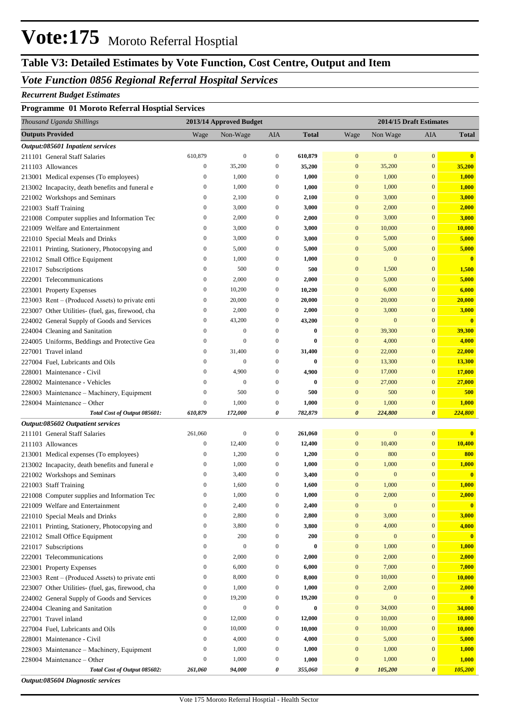# **Vote:175** Moroto Referral Hosptial

# **Table V3: Detailed Estimates by Vote Function, Cost Centre, Output and Item**

### *Vote Function 0856 Regional Referral Hospital Services*

#### *Recurrent Budget Estimates*

#### **Programme 01 Moroto Referral Hosptial Services**

| Thousand Uganda Shillings                                         |                  | 2013/14 Approved Budget |                  |              |                       |                  | 2014/15 Draft Estimates |                         |
|-------------------------------------------------------------------|------------------|-------------------------|------------------|--------------|-----------------------|------------------|-------------------------|-------------------------|
| <b>Outputs Provided</b>                                           | Wage             | Non-Wage                | AIA              | <b>Total</b> | Wage                  | Non Wage         | AIA                     | <b>Total</b>            |
| Output:085601 Inpatient services                                  |                  |                         |                  |              |                       |                  |                         |                         |
| 211101 General Staff Salaries                                     | 610,879          | $\mathbf{0}$            | $\boldsymbol{0}$ | 610,879      | $\mathbf{0}$          | $\bf{0}$         | $\mathbf{0}$            | $\bf{0}$                |
| 211103 Allowances                                                 | $\boldsymbol{0}$ | 35,200                  | $\boldsymbol{0}$ | 35,200       | $\boldsymbol{0}$      | 35,200           | $\boldsymbol{0}$        | 35,200                  |
| 213001 Medical expenses (To employees)                            | $\boldsymbol{0}$ | 1,000                   | $\boldsymbol{0}$ | 1,000        | $\mathbf{0}$          | 1,000            | $\mathbf{0}$            | 1,000                   |
| 213002 Incapacity, death benefits and funeral e                   | $\boldsymbol{0}$ | 1,000                   | $\boldsymbol{0}$ | 1,000        | $\mathbf{0}$          | 1,000            | $\mathbf{0}$            | 1,000                   |
| 221002 Workshops and Seminars                                     | $\boldsymbol{0}$ | 2,100                   | $\boldsymbol{0}$ | 2,100        | $\mathbf{0}$          | 3,000            | $\mathbf{0}$            | 3,000                   |
| 221003 Staff Training                                             | $\boldsymbol{0}$ | 3,000                   | $\boldsymbol{0}$ | 3,000        | $\mathbf{0}$          | 2,000            | $\mathbf{0}$            | 2,000                   |
| 221008 Computer supplies and Information Tec                      | $\boldsymbol{0}$ | 2,000                   | $\boldsymbol{0}$ | 2,000        | $\mathbf{0}$          | 3,000            | $\mathbf{0}$            | 3,000                   |
| 221009 Welfare and Entertainment                                  | $\boldsymbol{0}$ | 3,000                   | $\boldsymbol{0}$ | 3,000        | $\mathbf{0}$          | 10,000           | $\boldsymbol{0}$        | 10,000                  |
| 221010 Special Meals and Drinks                                   | $\boldsymbol{0}$ | 3,000                   | $\boldsymbol{0}$ | 3,000        | $\mathbf{0}$          | 5,000            | $\mathbf{0}$            | 5,000                   |
| 221011 Printing, Stationery, Photocopying and                     | $\boldsymbol{0}$ | 5,000                   | $\boldsymbol{0}$ | 5,000        | $\boldsymbol{0}$      | 5,000            | $\mathbf{0}$            | 5,000                   |
| 221012 Small Office Equipment                                     | $\boldsymbol{0}$ | 1,000                   | $\boldsymbol{0}$ | 1,000        | $\mathbf{0}$          | $\bf{0}$         | $\mathbf{0}$            | $\overline{\mathbf{0}}$ |
| 221017 Subscriptions                                              | $\boldsymbol{0}$ | 500                     | $\boldsymbol{0}$ | 500          | $\mathbf{0}$          | 1,500            | $\mathbf{0}$            | 1,500                   |
| 222001 Telecommunications                                         | $\boldsymbol{0}$ | 2,000                   | $\boldsymbol{0}$ | 2,000        | $\mathbf{0}$          | 5,000            | $\mathbf{0}$            | 5,000                   |
| 223001 Property Expenses                                          | $\boldsymbol{0}$ | 10,200                  | $\boldsymbol{0}$ | 10,200       | $\mathbf{0}$          | 6,000            | $\mathbf{0}$            | 6,000                   |
| 223003 Rent – (Produced Assets) to private enti                   | $\boldsymbol{0}$ | 20,000                  | $\boldsymbol{0}$ | 20,000       | $\mathbf{0}$          | 20,000           | $\mathbf{0}$            | 20,000                  |
| 223007 Other Utilities- (fuel, gas, firewood, cha                 | $\boldsymbol{0}$ | 2,000                   | $\boldsymbol{0}$ | 2,000        | $\mathbf{0}$          | 3,000            | $\mathbf{0}$            | 3,000                   |
| 224002 General Supply of Goods and Services                       | $\boldsymbol{0}$ | 43,200                  | $\boldsymbol{0}$ | 43,200       | $\mathbf{0}$          | $\bf{0}$         | $\mathbf{0}$            | $\mathbf{0}$            |
| 224004 Cleaning and Sanitation                                    | $\boldsymbol{0}$ | $\boldsymbol{0}$        | $\boldsymbol{0}$ | $\bf{0}$     | $\mathbf{0}$          | 39,300           | $\boldsymbol{0}$        | 39,300                  |
| 224005 Uniforms, Beddings and Protective Gea                      | $\boldsymbol{0}$ | $\boldsymbol{0}$        | $\boldsymbol{0}$ | $\bf{0}$     | $\mathbf{0}$          | 4,000            | $\mathbf{0}$            | 4,000                   |
| 227001 Travel inland                                              | $\boldsymbol{0}$ | 31,400                  | $\boldsymbol{0}$ | 31,400       | $\boldsymbol{0}$      | 22,000           | $\boldsymbol{0}$        | 22,000                  |
| 227004 Fuel, Lubricants and Oils                                  | $\boldsymbol{0}$ | $\boldsymbol{0}$        | $\boldsymbol{0}$ | $\bf{0}$     | $\mathbf{0}$          | 13,300           | $\boldsymbol{0}$        | 13,300                  |
| 228001 Maintenance - Civil                                        | $\boldsymbol{0}$ | 4,900                   | $\boldsymbol{0}$ | 4,900        | $\mathbf{0}$          | 17,000           | $\boldsymbol{0}$        | 17,000                  |
| 228002 Maintenance - Vehicles                                     | $\boldsymbol{0}$ | $\mathbf{0}$            | $\boldsymbol{0}$ | $\bf{0}$     | $\mathbf{0}$          | 27,000           | $\boldsymbol{0}$        | 27,000                  |
| 228003 Maintenance - Machinery, Equipment                         | $\boldsymbol{0}$ | 500                     | $\boldsymbol{0}$ | 500          | $\boldsymbol{0}$      | 500              | $\mathbf{0}$            | 500                     |
| 228004 Maintenance – Other                                        | $\boldsymbol{0}$ | 1,000                   | $\boldsymbol{0}$ | 1,000        | $\boldsymbol{0}$      | 1,000            | $\boldsymbol{0}$        | 1,000                   |
| Total Cost of Output 085601:                                      | 610,879          | 172,000                 | 0                | 782,879      | $\boldsymbol{\theta}$ | 224,800          | $\boldsymbol{\theta}$   | 224,800                 |
| Output:085602 Outpatient services                                 |                  |                         |                  |              |                       |                  |                         |                         |
| 211101 General Staff Salaries                                     | 261,060          | $\boldsymbol{0}$        | $\boldsymbol{0}$ | 261,060      | $\boldsymbol{0}$      | $\bf{0}$         | $\mathbf{0}$            | $\bf{0}$                |
| 211103 Allowances                                                 | $\boldsymbol{0}$ | 12,400                  | $\boldsymbol{0}$ | 12,400       | $\boldsymbol{0}$      | 10,400           | $\boldsymbol{0}$        | 10,400                  |
| 213001 Medical expenses (To employees)                            | $\boldsymbol{0}$ | 1,200                   | $\boldsymbol{0}$ | 1,200        | $\mathbf{0}$          | 800              | $\mathbf{0}$            | 800                     |
| 213002 Incapacity, death benefits and funeral e                   | $\boldsymbol{0}$ | 1,000                   | $\boldsymbol{0}$ | 1,000        | $\mathbf{0}$          | 1,000            | $\mathbf{0}$            | 1,000                   |
| 221002 Workshops and Seminars                                     | $\boldsymbol{0}$ | 3,400                   | $\boldsymbol{0}$ | 3,400        | $\mathbf{0}$          | $\boldsymbol{0}$ | $\mathbf{0}$            | $\mathbf{0}$            |
| 221003 Staff Training                                             | $\boldsymbol{0}$ | 1,600                   | $\boldsymbol{0}$ | 1,600        | $\mathbf{0}$          | 1,000            | $\boldsymbol{0}$        | 1,000                   |
| 221008 Computer supplies and Information Tec                      | $\mathbf{0}$     | 1,000                   | $\mathbf{0}$     | 1,000        | $\mathbf{0}$          | 2,000            | $\overline{0}$          | 2,000                   |
| 221009 Welfare and Entertainment                                  | $\boldsymbol{0}$ | 2,400                   | $\boldsymbol{0}$ | 2,400        | $\boldsymbol{0}$      | $\boldsymbol{0}$ | $\boldsymbol{0}$        | $\mathbf{0}$            |
| 221010 Special Meals and Drinks                                   | $\boldsymbol{0}$ | 2,800                   | $\boldsymbol{0}$ | 2,800        | $\boldsymbol{0}$      | 3,000            | $\bf{0}$                | 3,000                   |
| 221011 Printing, Stationery, Photocopying and                     | $\boldsymbol{0}$ | 3,800                   | $\boldsymbol{0}$ | 3,800        | $\boldsymbol{0}$      | 4,000            | $\bf{0}$                | 4,000                   |
| 221012 Small Office Equipment                                     | $\boldsymbol{0}$ | 200                     | $\boldsymbol{0}$ | 200          | $\boldsymbol{0}$      | $\bf{0}$         | $\boldsymbol{0}$        | $\mathbf{0}$            |
| 221017 Subscriptions                                              | $\boldsymbol{0}$ | $\mathbf{0}$            | $\boldsymbol{0}$ | $\bf{0}$     | $\boldsymbol{0}$      | 1,000            | $\bf{0}$                | <b>1,000</b>            |
| 222001 Telecommunications                                         | $\boldsymbol{0}$ | 2,000                   | $\boldsymbol{0}$ | 2,000        | $\boldsymbol{0}$      | 2,000            | $\bf{0}$                | 2,000                   |
| 223001 Property Expenses                                          | $\boldsymbol{0}$ | 6,000                   | $\boldsymbol{0}$ | 6,000        | $\boldsymbol{0}$      | 7,000            | $\boldsymbol{0}$        | 7,000                   |
| 223003 Rent – (Produced Assets) to private enti                   | $\boldsymbol{0}$ | 8,000                   | $\boldsymbol{0}$ | 8,000        | $\boldsymbol{0}$      | 10,000           | $\mathbf{0}$            | 10,000                  |
| 223007 Other Utilities- (fuel, gas, firewood, cha                 | $\boldsymbol{0}$ | 1,000                   | $\boldsymbol{0}$ | 1,000        | $\boldsymbol{0}$      | 2,000            | $\mathbf{0}$            | 2,000                   |
| 224002 General Supply of Goods and Services                       | $\boldsymbol{0}$ | 19,200                  | $\boldsymbol{0}$ | 19,200       | $\boldsymbol{0}$      | $\bf{0}$         | $\boldsymbol{0}$        | $\mathbf{0}$            |
| 224004 Cleaning and Sanitation                                    | $\boldsymbol{0}$ | $\mathbf{0}$            | $\boldsymbol{0}$ | $\bf{0}$     | $\boldsymbol{0}$      | 34,000           | $\mathbf{0}$            | 34,000                  |
| 227001 Travel inland                                              | $\boldsymbol{0}$ | 12,000                  | $\boldsymbol{0}$ | 12,000       | $\boldsymbol{0}$      | 10,000           | $\mathbf{0}$            | 10,000                  |
| 227004 Fuel, Lubricants and Oils                                  | $\boldsymbol{0}$ | 10,000                  | $\boldsymbol{0}$ | 10,000       | $\boldsymbol{0}$      | 10,000           | $\mathbf{0}$            | 10,000                  |
| 228001 Maintenance - Civil                                        | $\boldsymbol{0}$ | 4,000                   | $\boldsymbol{0}$ | 4,000        | $\boldsymbol{0}$      | 5,000            | $\mathbf{0}$            | 5,000                   |
| 228003 Maintenance - Machinery, Equipment                         | $\boldsymbol{0}$ | 1,000                   | $\boldsymbol{0}$ | 1,000        | $\mathbf{0}$          | 1,000            | $\mathbf{0}$            | 1,000                   |
| 228004 Maintenance - Other                                        | $\boldsymbol{0}$ | 1,000                   | $\boldsymbol{0}$ | 1,000        | $\mathbf{0}$          | 1,000            | $\boldsymbol{0}$        | 1,000                   |
| Total Cost of Output 085602:<br>Output:085604 Diagnostic services | 261,060          | 94,000                  | 0                | 355,060      | 0                     | 105,200          | 0                       | 105,200                 |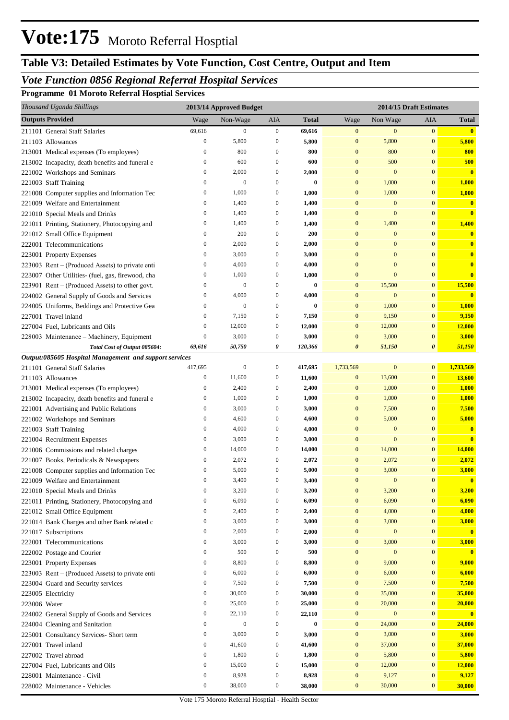# **Vote:175** Moroto Referral Hosptial

## **Table V3: Detailed Estimates by Vote Function, Cost Centre, Output and Item**

## *Vote Function 0856 Regional Referral Hospital Services*

**Programme 01 Moroto Referral Hosptial Services**

|              | Thousand Uganda Shillings                              |                  | 2013/14 Approved Budget |                  |              |                       | 2014/15 Draft Estimates |                       |                         |
|--------------|--------------------------------------------------------|------------------|-------------------------|------------------|--------------|-----------------------|-------------------------|-----------------------|-------------------------|
|              | <b>Outputs Provided</b>                                | Wage             | Non-Wage                | AIA              | <b>Total</b> | Wage                  | Non Wage                | AIA                   | Total                   |
|              | 211101 General Staff Salaries                          | 69,616           | $\boldsymbol{0}$        | $\boldsymbol{0}$ | 69,616       | $\boldsymbol{0}$      | $\mathbf{0}$            | $\boldsymbol{0}$      | $\bullet$               |
|              | 211103 Allowances                                      | $\boldsymbol{0}$ | 5,800                   | $\boldsymbol{0}$ | 5,800        | $\boldsymbol{0}$      | 5,800                   | $\mathbf{0}$          | 5,800                   |
|              | 213001 Medical expenses (To employees)                 | $\mathbf{0}$     | 800                     | $\boldsymbol{0}$ | 800          | $\boldsymbol{0}$      | 800                     | $\mathbf{0}$          | 800                     |
|              | 213002 Incapacity, death benefits and funeral e        | $\boldsymbol{0}$ | 600                     | $\boldsymbol{0}$ | 600          | $\mathbf{0}$          | 500                     | $\mathbf{0}$          | 500                     |
|              | 221002 Workshops and Seminars                          | $\boldsymbol{0}$ | 2,000                   | $\boldsymbol{0}$ | 2,000        | $\mathbf{0}$          | $\mathbf{0}$            | $\mathbf{0}$          | $\overline{\mathbf{0}}$ |
|              | 221003 Staff Training                                  | $\boldsymbol{0}$ | $\mathbf{0}$            | $\boldsymbol{0}$ | $\bf{0}$     | $\bf{0}$              | 1,000                   | $\mathbf{0}$          | 1,000                   |
|              | 221008 Computer supplies and Information Tec           | $\boldsymbol{0}$ | 1,000                   | $\boldsymbol{0}$ | 1,000        | $\bf{0}$              | 1,000                   | $\mathbf{0}$          | 1,000                   |
|              | 221009 Welfare and Entertainment                       | $\boldsymbol{0}$ | 1,400                   | $\boldsymbol{0}$ | 1,400        | $\bf{0}$              | $\mathbf{0}$            | $\bf{0}$              | $\mathbf{0}$            |
|              | 221010 Special Meals and Drinks                        | $\boldsymbol{0}$ | 1,400                   | $\boldsymbol{0}$ | 1,400        | $\mathbf{0}$          | $\mathbf{0}$            | $\mathbf{0}$          | $\overline{\mathbf{0}}$ |
|              | 221011 Printing, Stationery, Photocopying and          | $\boldsymbol{0}$ | 1,400                   | $\boldsymbol{0}$ | 1,400        | $\bf{0}$              | 1,400                   | $\mathbf{0}$          | 1,400                   |
|              | 221012 Small Office Equipment                          | $\boldsymbol{0}$ | 200                     | $\boldsymbol{0}$ | 200          | $\bf{0}$              | $\mathbf{0}$            | $\mathbf{0}$          | $\mathbf{0}$            |
|              | 222001 Telecommunications                              | $\boldsymbol{0}$ | 2,000                   | $\boldsymbol{0}$ | 2,000        | $\mathbf{0}$          | $\mathbf{0}$            | $\mathbf{0}$          | $\mathbf{0}$            |
|              | 223001 Property Expenses                               | $\boldsymbol{0}$ | 3,000                   | $\boldsymbol{0}$ | 3,000        | $\mathbf{0}$          | $\mathbf{0}$            | $\mathbf{0}$          | $\mathbf{0}$            |
|              | 223003 Rent – (Produced Assets) to private enti        | $\boldsymbol{0}$ | 4,000                   | $\boldsymbol{0}$ | 4,000        | $\mathbf{0}$          | $\mathbf{0}$            | $\overline{0}$        | $\mathbf{0}$            |
|              | 223007 Other Utilities- (fuel, gas, firewood, cha      | $\boldsymbol{0}$ | 1,000                   | $\boldsymbol{0}$ | 1,000        | $\mathbf{0}$          | $\mathbf{0}$            | $\bf{0}$              | $\overline{\mathbf{0}}$ |
|              | 223901 Rent – (Produced Assets) to other govt.         | $\boldsymbol{0}$ | $\mathbf{0}$            | $\boldsymbol{0}$ | $\bf{0}$     | $\mathbf{0}$          | 15,500                  | $\mathbf{0}$          | 15,500                  |
|              | 224002 General Supply of Goods and Services            | $\boldsymbol{0}$ | 4,000                   | $\boldsymbol{0}$ | 4,000        | $\mathbf{0}$          | $\mathbf{0}$            | $\bf{0}$              | $\bf{0}$                |
|              | 224005 Uniforms, Beddings and Protective Gea           | $\boldsymbol{0}$ | $\mathbf{0}$            | $\boldsymbol{0}$ | $\bf{0}$     | $\bf{0}$              | 1,000                   | $\mathbf{0}$          | 1,000                   |
|              | 227001 Travel inland                                   | $\boldsymbol{0}$ | 7,150                   | $\boldsymbol{0}$ | 7,150        | $\mathbf{0}$          | 9,150                   | $\mathbf{0}$          | 9,150                   |
|              | 227004 Fuel, Lubricants and Oils                       | $\boldsymbol{0}$ | 12,000                  | $\boldsymbol{0}$ | 12,000       | $\mathbf{0}$          | 12,000                  | $\mathbf{0}$          | 12,000                  |
|              | 228003 Maintenance - Machinery, Equipment              | $\boldsymbol{0}$ | 3,000                   | $\boldsymbol{0}$ | 3,000        | $\bf{0}$              | 3,000                   | $\mathbf{0}$          | 3,000                   |
|              | Total Cost of Output 085604:                           | 69,616           | 50,750                  | 0                | 120,366      | $\boldsymbol{\theta}$ | 51,150                  | $\boldsymbol{\theta}$ | 51,150                  |
|              | Output:085605 Hospital Management and support services |                  |                         |                  |              |                       |                         |                       |                         |
|              | 211101 General Staff Salaries                          | 417,695          | $\mathbf{0}$            | $\mathbf{0}$     | 417,695      | 1,733,569             | $\boldsymbol{0}$        | $\boldsymbol{0}$      | 1,733,569               |
|              | 211103 Allowances                                      | $\boldsymbol{0}$ | 11,600                  | $\boldsymbol{0}$ | 11,600       | $\boldsymbol{0}$      | 13,600                  | $\mathbf{0}$          | 13,600                  |
|              | 213001 Medical expenses (To employees)                 | $\boldsymbol{0}$ | 2,400                   | $\boldsymbol{0}$ | 2,400        | $\bf{0}$              | 1,000                   | $\mathbf{0}$          | 1,000                   |
|              | 213002 Incapacity, death benefits and funeral e        | $\boldsymbol{0}$ | 1,000                   | $\boldsymbol{0}$ | 1,000        | $\bf{0}$              | 1,000                   | $\mathbf{0}$          | 1,000                   |
|              | 221001 Advertising and Public Relations                | $\boldsymbol{0}$ | 3,000                   | $\boldsymbol{0}$ | 3,000        | $\bf{0}$              | 7,500                   | $\mathbf{0}$          | 7,500                   |
|              | 221002 Workshops and Seminars                          | $\boldsymbol{0}$ | 4,600                   | $\boldsymbol{0}$ | 4,600        | $\bf{0}$              | 5,000                   | $\mathbf{0}$          | 5,000                   |
|              | 221003 Staff Training                                  | $\boldsymbol{0}$ | 4,000                   | $\boldsymbol{0}$ | 4,000        | $\bf{0}$              | $\mathbf{0}$            | $\overline{0}$        | $\mathbf{0}$            |
|              | 221004 Recruitment Expenses                            | $\boldsymbol{0}$ | 3,000                   | $\boldsymbol{0}$ | 3,000        | $\bf{0}$              | $\mathbf{0}$            | $\bf{0}$              | $\overline{\mathbf{0}}$ |
|              | 221006 Commissions and related charges                 | $\boldsymbol{0}$ | 14,000                  | $\boldsymbol{0}$ | 14,000       | $\bf{0}$              | 14,000                  | $\mathbf{0}$          | 14,000                  |
|              | 221007 Books, Periodicals & Newspapers                 | $\boldsymbol{0}$ | 2,072                   | $\boldsymbol{0}$ | 2,072        | $\bf{0}$              | 2,072                   | $\mathbf{0}$          | 2,072                   |
|              | 221008 Computer supplies and Information Tec           | $\boldsymbol{0}$ | 5,000                   | $\boldsymbol{0}$ | 5,000        | $\bf{0}$              | 3,000                   | $\mathbf{0}$          | 3,000                   |
|              | 221009 Welfare and Entertainment                       | 0                | 3,400                   | 0                | 3,400        | $\mathbf{0}$          | $\mathbf{0}$            | $\bf{0}$              | $\mathbf{0}$            |
|              | 221010 Special Meals and Drinks                        | $\boldsymbol{0}$ | 3,200                   | $\boldsymbol{0}$ | 3,200        | $\boldsymbol{0}$      | 3,200                   | $\mathbf{0}$          | 3,200                   |
|              | 221011 Printing, Stationery, Photocopying and          | $\boldsymbol{0}$ | 6,090                   | 0                | 6,090        | $\bf{0}$              | 6,090                   | $\bf{0}$              | 6,090                   |
|              | 221012 Small Office Equipment                          | $\boldsymbol{0}$ | 2,400                   | 0                | 2,400        | $\bf{0}$              | 4,000                   | $\bf{0}$              | 4,000                   |
|              | 221014 Bank Charges and other Bank related c           | $\boldsymbol{0}$ | 3,000                   | 0                | 3,000        | $\bf{0}$              | 3,000                   | $\overline{0}$        | 3,000                   |
|              | 221017 Subscriptions                                   | $\boldsymbol{0}$ | 2,000                   | 0                | 2,000        | $\bf{0}$              | $\mathbf{0}$            | $\mathbf{0}$          | $\overline{\mathbf{0}}$ |
|              | 222001 Telecommunications                              | $\boldsymbol{0}$ | 3,000                   | 0                | 3,000        | $\boldsymbol{0}$      | 3,000                   | $\mathbf{0}$          | 3,000                   |
|              | 222002 Postage and Courier                             | $\boldsymbol{0}$ | 500                     | 0                | 500          | $\bf{0}$              | $\mathbf{0}$            | $\bf{0}$              | $\mathbf{0}$            |
|              | 223001 Property Expenses                               | $\boldsymbol{0}$ | 8,800                   | 0                | 8,800        | $\mathbf{0}$          | 9,000                   | $\mathbf{0}$          | 9,000                   |
|              | 223003 Rent – (Produced Assets) to private enti        | $\boldsymbol{0}$ | 6,000                   | 0                | 6,000        | $\bf{0}$              | 6,000                   | $\bf{0}$              | 6,000                   |
|              | 223004 Guard and Security services                     | $\boldsymbol{0}$ | 7,500                   | 0                | 7,500        | $\bf{0}$              | 7,500                   | $\bf{0}$              | 7,500                   |
|              | 223005 Electricity                                     | $\boldsymbol{0}$ | 30,000                  | 0                | 30,000       | $\bf{0}$              | 35,000                  | $\bf{0}$              | 35,000                  |
| 223006 Water |                                                        | $\boldsymbol{0}$ | 25,000                  | 0                | 25,000       | $\bf{0}$              | 20,000                  | $\bf{0}$              | 20,000                  |
|              | 224002 General Supply of Goods and Services            | $\boldsymbol{0}$ | 22,110                  | 0                | 22,110       | $\bf{0}$              | $\mathbf{0}$            | $\bf{0}$              | $\mathbf{0}$            |
|              | 224004 Cleaning and Sanitation                         | $\boldsymbol{0}$ | $\boldsymbol{0}$        | 0                | 0            | $\bf{0}$              | 24,000                  | $\mathbf{0}$          | 24,000                  |
|              | 225001 Consultancy Services- Short term                | $\boldsymbol{0}$ | 3,000                   | $\boldsymbol{0}$ | 3,000        | $\bf{0}$              | 3,000                   | $\bf{0}$              | 3,000                   |
|              | 227001 Travel inland                                   | $\boldsymbol{0}$ | 41,600                  | 0                | 41,600       | $\bf{0}$              | 37,000                  | $\mathbf{0}$          | 37,000                  |
|              | 227002 Travel abroad                                   | $\boldsymbol{0}$ | 1,800                   | 0                | 1,800        | $\bf{0}$              | 5,800                   | $\bf{0}$              | 5,800                   |
|              | 227004 Fuel, Lubricants and Oils                       | $\boldsymbol{0}$ | 15,000                  | $\boldsymbol{0}$ | 15,000       | $\bf{0}$              | 12,000                  | $\mathbf{0}$          | 12,000                  |
|              | 228001 Maintenance - Civil                             | $\boldsymbol{0}$ | 8,928                   | $\boldsymbol{0}$ | 8,928        | $\bf{0}$              | 9,127                   | $\bf{0}$              | 9,127                   |
|              | 228002 Maintenance - Vehicles                          | $\boldsymbol{0}$ | 38,000                  | $\boldsymbol{0}$ | 38,000       | $\bf{0}$              | 30,000                  | $\bf{0}$              | 30,000                  |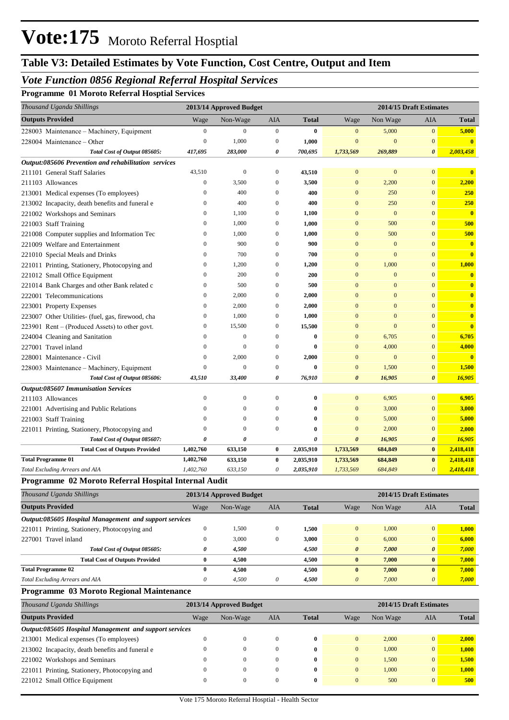## **Table V3: Detailed Estimates by Vote Function, Cost Centre, Output and Item**

### *Vote Function 0856 Regional Referral Hospital Services*

**Programme 01 Moroto Referral Hosptial Services**

| Thousand Uganda Shillings                            |                  | 2013/14 Approved Budget |                  |              |                       | 2014/15 Draft Estimates |                       |                         |
|------------------------------------------------------|------------------|-------------------------|------------------|--------------|-----------------------|-------------------------|-----------------------|-------------------------|
| <b>Outputs Provided</b>                              | Wage             | Non-Wage                | <b>AIA</b>       | <b>Total</b> | Wage                  | Non Wage                | <b>AIA</b>            | <b>Total</b>            |
| 228003 Maintenance - Machinery, Equipment            | $\boldsymbol{0}$ | $\boldsymbol{0}$        | $\boldsymbol{0}$ | $\bf{0}$     | $\overline{0}$        | 5,000                   | $\mathbf{0}$          | 5,000                   |
| 228004 Maintenance – Other                           | $\overline{0}$   | 1,000                   | $\boldsymbol{0}$ | 1,000        | $\overline{0}$        | $\mathbf{0}$            | $\mathbf{0}$          | $\overline{\mathbf{0}}$ |
| Total Cost of Output 085605:                         | 417,695          | 283,000                 | 0                | 700,695      | 1,733,569             | 269,889                 | 0                     | 2,003,458               |
| Output:085606 Prevention and rehabilitation services |                  |                         |                  |              |                       |                         |                       |                         |
| 211101 General Staff Salaries                        | 43,510           | $\overline{0}$          | $\mathbf{0}$     | 43,510       | $\overline{0}$        | $\mathbf{0}$            | $\overline{0}$        | $\mathbf{0}$            |
| 211103 Allowances                                    | $\boldsymbol{0}$ | 3,500                   | $\mathbf{0}$     | 3,500        | $\mathbf{0}$          | 2,200                   | $\mathbf{0}$          | 2,200                   |
| 213001 Medical expenses (To employees)               | $\mathbf{0}$     | 400                     | $\mathbf{0}$     | 400          | $\overline{0}$        | 250                     | $\overline{0}$        | <b>250</b>              |
| 213002 Incapacity, death benefits and funeral e      | $\mathbf{0}$     | 400                     | $\mathbf{0}$     | 400          | $\mathbf{0}$          | 250                     | $\overline{0}$        | 250                     |
| 221002 Workshops and Seminars                        | $\mathbf{0}$     | 1,100                   | $\mathbf{0}$     | 1,100        | $\mathbf{0}$          | $\mathbf{0}$            | $\overline{0}$        | $\mathbf{0}$            |
| 221003 Staff Training                                | $\mathbf{0}$     | 1,000                   | $\mathbf{0}$     | 1,000        | $\overline{0}$        | 500                     | $\overline{0}$        | 500                     |
| 221008 Computer supplies and Information Tec         | 0                | 1,000                   | 0                | 1,000        | $\mathbf{0}$          | 500                     | $\mathbf{0}$          | 500                     |
| 221009 Welfare and Entertainment                     | $\mathbf{0}$     | 900                     | $\mathbf{0}$     | 900          | $\mathbf{0}$          | $\overline{0}$          | $\overline{0}$        | $\mathbf{0}$            |
| 221010 Special Meals and Drinks                      | $\boldsymbol{0}$ | 700                     | $\boldsymbol{0}$ | 700          | $\mathbf{0}$          | $\mathbf{0}$            | $\mathbf{0}$          | $\bf{0}$                |
| 221011 Printing, Stationery, Photocopying and        | $\mathbf{0}$     | 1,200                   | 0                | 1,200        | $\bf{0}$              | 1,000                   | $\mathbf{0}$          | 1,000                   |
| 221012 Small Office Equipment                        | $\mathbf{0}$     | 200                     | $\mathbf{0}$     | 200          | $\mathbf{0}$          | $\overline{0}$          | $\overline{0}$        | $\bf{0}$                |
| 221014 Bank Charges and other Bank related c         | $\boldsymbol{0}$ | 500                     | $\mathbf{0}$     | 500          | $\mathbf{0}$          | $\mathbf{0}$            | $\mathbf{0}$          | $\bf{0}$                |
| 222001 Telecommunications                            | $\mathbf{0}$     | 2,000                   | $\mathbf{0}$     | 2,000        | $\overline{0}$        | $\mathbf{0}$            | $\overline{0}$        | $\bf{0}$                |
| 223001 Property Expenses                             | $\boldsymbol{0}$ | 2,000                   | $\mathbf{0}$     | 2,000        | $\overline{0}$        | $\mathbf{0}$            | $\mathbf{0}$          | $\bf{0}$                |
| 223007 Other Utilities- (fuel, gas, firewood, cha    | $\boldsymbol{0}$ | 1,000                   | $\mathbf{0}$     | 1,000        | $\overline{0}$        | $\mathbf{0}$            | $\overline{0}$        | $\bf{0}$                |
| $223901$ Rent – (Produced Assets) to other govt.     | $\mathbf{0}$     | 15,500                  | $\mathbf{0}$     | 15,500       | $\overline{0}$        | $\overline{0}$          | $\overline{0}$        | $\mathbf{0}$            |
| 224004 Cleaning and Sanitation                       | $\mathbf{0}$     | $\mathbf{0}$            | $\mathbf{0}$     | $\bf{0}$     | $\mathbf{0}$          | 6,705                   | $\mathbf{0}$          | 6,705                   |
| 227001 Travel inland                                 | $\theta$         | $\Omega$                | $\mathbf{0}$     | $\bf{0}$     | $\mathbf{0}$          | 4,000                   | $\overline{0}$        | 4,000                   |
| 228001 Maintenance - Civil                           | $\mathbf{0}$     | 2,000                   | $\boldsymbol{0}$ | 2,000        | $\mathbf{0}$          | $\boldsymbol{0}$        | $\mathbf{0}$          | $\mathbf{0}$            |
| 228003 Maintenance - Machinery, Equipment            | $\mathbf{0}$     | $\Omega$                | $\Omega$         | $\bf{0}$     | $\mathbf{0}$          | 1,500                   | $\mathbf{0}$          | 1,500                   |
| Total Cost of Output 085606:                         | 43,510           | 33,400                  | 0                | 76,910       | $\theta$              | 16,905                  | $\boldsymbol{\theta}$ | 16,905                  |
| <b>Output:085607 Immunisation Services</b>           |                  |                         |                  |              |                       |                         |                       |                         |
| 211103 Allowances                                    | $\mathbf{0}$     | $\overline{0}$          | $\mathbf{0}$     | $\bf{0}$     | $\overline{0}$        | 6,905                   | $\overline{0}$        | 6,905                   |
| 221001 Advertising and Public Relations              | $\mathbf{0}$     | $\mathbf{0}$            | $\Omega$         | $\bf{0}$     | $\mathbf{0}$          | 3,000                   | $\mathbf{0}$          | 3,000                   |
| 221003 Staff Training                                | $\mathbf{0}$     | $\overline{0}$          | $\mathbf{0}$     | $\bf{0}$     | $\mathbf{0}$          | 5,000                   | $\overline{0}$        | 5,000                   |
| 221011 Printing, Stationery, Photocopying and        | $\mathbf{0}$     | $\overline{0}$          | $\mathbf{0}$     | $\bf{0}$     | $\overline{0}$        | 2,000                   | $\overline{0}$        | 2,000                   |
| Total Cost of Output 085607:                         | 0                | 0                       |                  | $\theta$     | $\boldsymbol{\theta}$ | 16,905                  | $\boldsymbol{\theta}$ | 16,905                  |
| <b>Total Cost of Outputs Provided</b>                | 1,402,760        | 633,150                 | $\bf{0}$         | 2,035,910    | 1,733,569             | 684,849                 | $\bf{0}$              | 2,418,418               |
| <b>Total Programme 01</b>                            | 1,402,760        | 633,150                 | $\bf{0}$         | 2,035,910    | 1,733,569             | 684,849                 | $\bf{0}$              | 2,418,418               |
| Total Excluding Arrears and AIA                      | 1,402,760        | 633,150                 | 0                | 2,035,910    | 1,733,569             | 684,849                 | $\theta$              | 2,418,418               |
| Programme 02 Moroto Referral Hospital Internal Audit |                  |                         |                  |              |                       |                         |                       |                         |

| Thousand Uganda Shillings                              |                | 2013/14 Approved Budget |              |              |                       |          | 2014/15 Draft Estimates | <b>Total</b><br>$\overline{0}$<br>1,000 |  |  |  |
|--------------------------------------------------------|----------------|-------------------------|--------------|--------------|-----------------------|----------|-------------------------|-----------------------------------------|--|--|--|
| <b>Outputs Provided</b>                                | Wage           | Non-Wage                | <b>AIA</b>   | <b>Total</b> | Wage                  | Non Wage | AIA                     |                                         |  |  |  |
| Output:085605 Hospital Management and support services |                |                         |              |              |                       |          |                         |                                         |  |  |  |
| 221011 Printing, Stationery, Photocopying and          |                | 1.500                   | $\Omega$     | 1.500        | $\Omega$              | 1.000    |                         |                                         |  |  |  |
| 227001 Travel inland                                   | $\overline{0}$ | 3.000                   | $\mathbf{0}$ | 3,000        | $\mathbf{0}$          | 6.000    | $\overline{0}$          | 6,000                                   |  |  |  |
| Total Cost of Output 085605:                           | 0              | 4,500                   |              | 4,500        | $\boldsymbol{\theta}$ | 7,000    | $\theta$                | 7,000                                   |  |  |  |
| <b>Total Cost of Outputs Provided</b>                  | 0              | 4.500                   |              | 4.500        | $\mathbf{0}$          | 7.000    | $\bf{0}$                | 7,000                                   |  |  |  |
| <b>Total Programme 02</b>                              | 0              | 4.500                   |              | 4.500        | $\mathbf{0}$          | 7.000    | $\mathbf{0}$            | 7,000                                   |  |  |  |
| <b>Total Excluding Arrears and AIA</b>                 | 0              | 4.500                   | 0            | 4,500        | $\theta$              | 7,000    | $\theta$                | 7,000                                   |  |  |  |

#### **Programme 03 Moroto Regional Maintenance**

| Thousand Uganda Shillings                              | 2013/14 Approved Budget |          |          |              |              | 2014/15 Draft Estimates |                |              |  |  |
|--------------------------------------------------------|-------------------------|----------|----------|--------------|--------------|-------------------------|----------------|--------------|--|--|
| <b>Outputs Provided</b>                                | Wage                    | Non-Wage | AIA      | <b>Total</b> | Wage         | Non Wage                | AIA            | <b>Total</b> |  |  |
| Output:085605 Hospital Management and support services |                         |          |          |              |              |                         |                |              |  |  |
| 213001 Medical expenses (To employees)                 |                         |          |          | 0            | $\Omega$     | 2.000                   | $\Omega$       | 2,000        |  |  |
| 213002 Incapacity, death benefits and funeral e        |                         |          |          | 0            | $\Omega$     | 1.000                   | $\Omega$       | 1.000        |  |  |
| 221002 Workshops and Seminars                          |                         |          | $\Omega$ | 0            | $\Omega$     | 1.500                   | $\overline{0}$ | 1,500        |  |  |
| 221011 Printing, Stationery, Photocopying and          |                         |          |          | 0            | $\Omega$     | 1,000                   | $\Omega$       | 1,000        |  |  |
| 221012 Small Office Equipment                          |                         |          |          | 0            | $\mathbf{0}$ | 500                     | $\Omega$       | 500          |  |  |